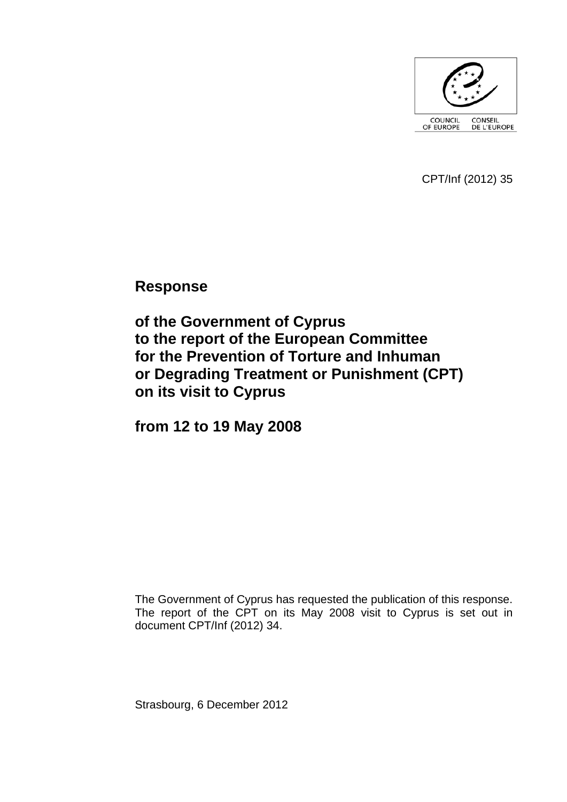

CPT/Inf (2012) 35

**Response** 

**of the Government of Cyprus to the report of the European Committee for the Prevention of Torture and Inhuman or Degrading Treatment or Punishment (CPT) on its visit to Cyprus** 

**from 12 to 19 May 2008** 

The Government of Cyprus has requested the publication of this response. The report of the CPT on its May 2008 visit to Cyprus is set out in document CPT/Inf (2012) 34.

Strasbourg, 6 December 2012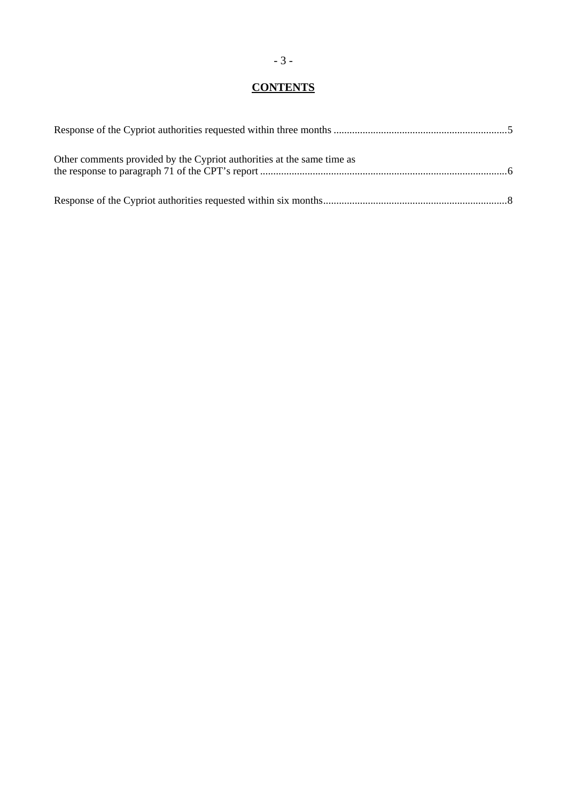# **CONTENTS**

| Other comments provided by the Cypriot authorities at the same time as |  |
|------------------------------------------------------------------------|--|
|                                                                        |  |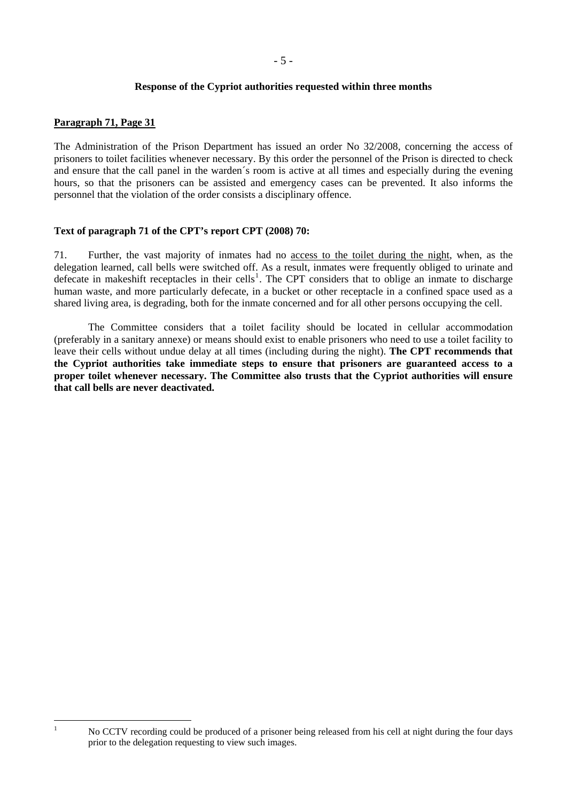## **Response of the Cypriot authorities requested within three months**

# <span id="page-4-0"></span>**Paragraph 71, Page 31**

<span id="page-4-1"></span> $\frac{1}{1}$ 

The Administration of the Prison Department has issued an order No 32/2008, concerning the access of prisoners to toilet facilities whenever necessary. By this order the personnel of the Prison is directed to check and ensure that the call panel in the warden´s room is active at all times and especially during the evening hours, so that the prisoners can be assisted and emergency cases can be prevented. It also informs the personnel that the violation of the order consists a disciplinary offence.

# **Text of paragraph 71 of the CPT's report CPT (2008) 70:**

71. Further, the vast majority of inmates had no access to the toilet during the night, when, as the delegation learned, call bells were switched off. As a result, inmates were frequently obliged to urinate and defecate in makeshift receptacles in their cells<sup>[1](#page-4-1)</sup>. The CPT considers that to oblige an inmate to discharge human waste, and more particularly defecate, in a bucket or other receptacle in a confined space used as a shared living area, is degrading, both for the inmate concerned and for all other persons occupying the cell.

 The Committee considers that a toilet facility should be located in cellular accommodation (preferably in a sanitary annexe) or means should exist to enable prisoners who need to use a toilet facility to leave their cells without undue delay at all times (including during the night). **The CPT recommends that the Cypriot authorities take immediate steps to ensure that prisoners are guaranteed access to a proper toilet whenever necessary. The Committee also trusts that the Cypriot authorities will ensure that call bells are never deactivated.** 

No CCTV recording could be produced of a prisoner being released from his cell at night during the four days prior to the delegation requesting to view such images.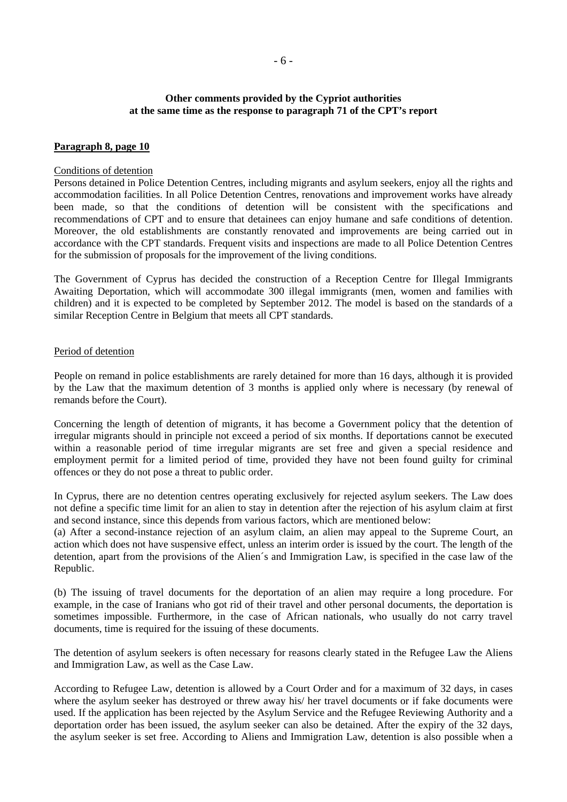## **Other comments provided by the Cypriot authorities at the same time as the response to paragraph 71 of the CPT's report**

#### <span id="page-5-0"></span>**Paragraph 8, page 10**

#### Conditions of detention

Persons detained in Police Detention Centres, including migrants and asylum seekers, enjoy all the rights and accommodation facilities. In all Police Detention Centres, renovations and improvement works have already been made, so that the conditions of detention will be consistent with the specifications and recommendations of CPT and to ensure that detainees can enjoy humane and safe conditions of detention. Moreover, the old establishments are constantly renovated and improvements are being carried out in accordance with the CPT standards. Frequent visits and inspections are made to all Police Detention Centres for the submission of proposals for the improvement of the living conditions.

The Government of Cyprus has decided the construction of a Reception Centre for Illegal Immigrants Awaiting Deportation, which will accommodate 300 illegal immigrants (men, women and families with children) and it is expected to be completed by September 2012. The model is based on the standards of a similar Reception Centre in Belgium that meets all CPT standards.

#### Period of detention

People on remand in police establishments are rarely detained for more than 16 days, although it is provided by the Law that the maximum detention of 3 months is applied only where is necessary (by renewal of remands before the Court).

Concerning the length of detention of migrants, it has become a Government policy that the detention of irregular migrants should in principle not exceed a period of six months. If deportations cannot be executed within a reasonable period of time irregular migrants are set free and given a special residence and employment permit for a limited period of time, provided they have not been found guilty for criminal offences or they do not pose a threat to public order.

In Cyprus, there are no detention centres operating exclusively for rejected asylum seekers. The Law does not define a specific time limit for an alien to stay in detention after the rejection of his asylum claim at first and second instance, since this depends from various factors, which are mentioned below:

(a) After a second-instance rejection of an asylum claim, an alien may appeal to the Supreme Court, an action which does not have suspensive effect, unless an interim order is issued by the court. The length of the detention, apart from the provisions of the Alien´s and Immigration Law, is specified in the case law of the Republic.

(b) The issuing of travel documents for the deportation of an alien may require a long procedure. For example, in the case of Iranians who got rid of their travel and other personal documents, the deportation is sometimes impossible. Furthermore, in the case of African nationals, who usually do not carry travel documents, time is required for the issuing of these documents.

The detention of asylum seekers is often necessary for reasons clearly stated in the Refugee Law the Aliens and Immigration Law, as well as the Case Law.

According to Refugee Law, detention is allowed by a Court Order and for a maximum of 32 days, in cases where the asylum seeker has destroyed or threw away his/ her travel documents or if fake documents were used. If the application has been rejected by the Asylum Service and the Refugee Reviewing Authority and a deportation order has been issued, the asylum seeker can also be detained. After the expiry of the 32 days, the asylum seeker is set free. According to Aliens and Immigration Law, detention is also possible when a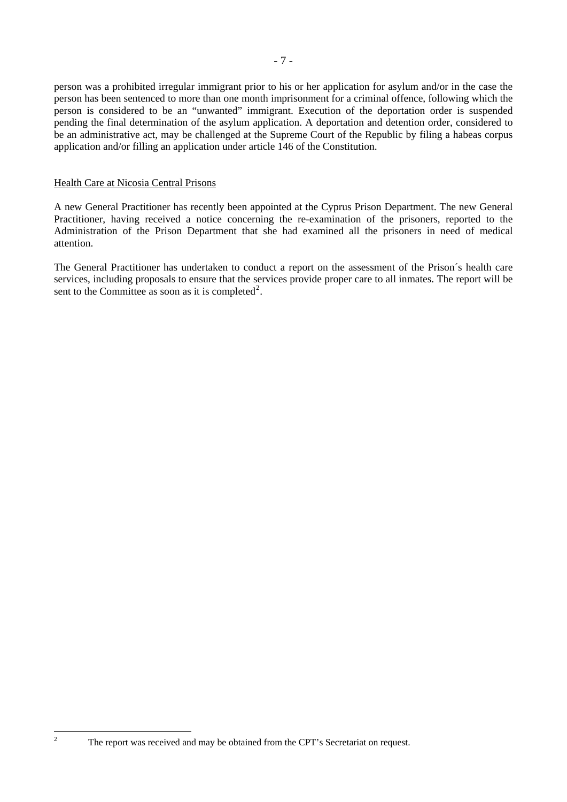person was a prohibited irregular immigrant prior to his or her application for asylum and/or in the case the person has been sentenced to more than one month imprisonment for a criminal offence, following which the person is considered to be an "unwanted" immigrant. Execution of the deportation order is suspended pending the final determination of the asylum application. A deportation and detention order, considered to be an administrative act, may be challenged at the Supreme Court of the Republic by filing a habeas corpus application and/or filling an application under article 146 of the Constitution.

#### Health Care at Nicosia Central Prisons

A new General Practitioner has recently been appointed at the Cyprus Prison Department. The new General Practitioner, having received a notice concerning the re-examination of the prisoners, reported to the Administration of the Prison Department that she had examined all the prisoners in need of medical attention.

The General Practitioner has undertaken to conduct a report on the assessment of the Prison´s health care services, including proposals to ensure that the services provide proper care to all inmates. The report will be sent to the Committee as soon as it is completed<sup>[2](#page-6-0)</sup>.

<span id="page-6-0"></span>The report was received and may be obtained from the CPT's Secretariat on request.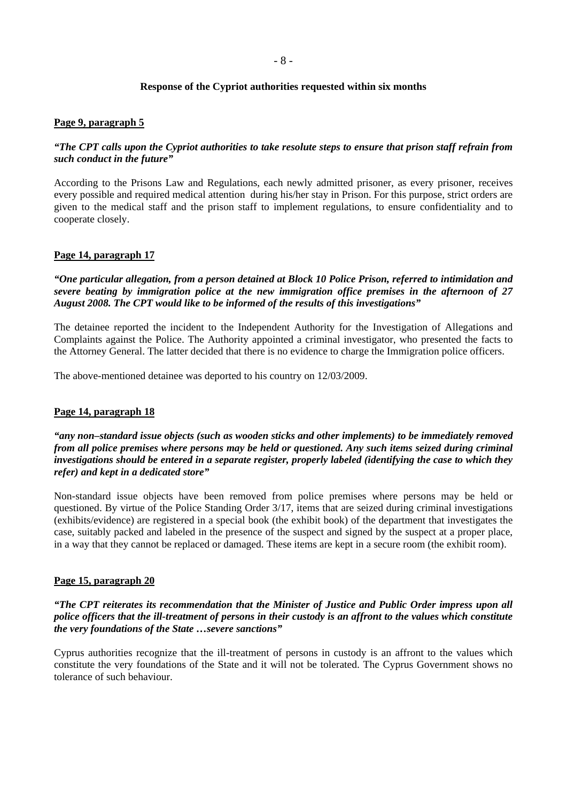## **Response of the Cypriot authorities requested within six months**

#### <span id="page-7-0"></span>**Page 9, paragraph 5**

## *"The CPT calls upon the Cypriot authorities to take resolute steps to ensure that prison staff refrain from such conduct in the future"*

According to the Prisons Law and Regulations, each newly admitted prisoner, as every prisoner, receives every possible and required medical attention during his/her stay in Prison. For this purpose, strict orders are given to the medical staff and the prison staff to implement regulations, to ensure confidentiality and to cooperate closely.

#### **Page 14, paragraph 17**

*"One particular allegation, from a person detained at Block 10 Police Prison, referred to intimidation and severe beating by immigration police at the new immigration office premises in the afternoon of 27 August 2008. The CPT would like to be informed of the results of this investigations"* 

The detainee reported the incident to the Independent Authority for the Investigation of Allegations and Complaints against the Police. The Authority appointed a criminal investigator, who presented the facts to the Attorney General. The latter decided that there is no evidence to charge the Immigration police officers.

The above-mentioned detainee was deported to his country on 12/03/2009.

#### **Page 14, paragraph 18**

*"any non–standard issue objects (such as wooden sticks and other implements) to be immediately removed from all police premises where persons may be held or questioned. Any such items seized during criminal investigations should be entered in a separate register, properly labeled (identifying the case to which they refer) and kept in a dedicated store"* 

Non-standard issue objects have been removed from police premises where persons may be held or questioned. By virtue of the Police Standing Order 3/17, items that are seized during criminal investigations (exhibits/evidence) are registered in a special book (the exhibit book) of the department that investigates the case, suitably packed and labeled in the presence of the suspect and signed by the suspect at a proper place, in a way that they cannot be replaced or damaged. These items are kept in a secure room (the exhibit room).

## **Page 15, paragraph 20**

## *"The CPT reiterates its recommendation that the Minister of Justice and Public Order impress upon all police officers that the ill-treatment of persons in their custody is an affront to the values which constitute the very foundations of the State …severe sanctions"*

Cyprus authorities recognize that the ill-treatment of persons in custody is an affront to the values which constitute the very foundations of the State and it will not be tolerated. The Cyprus Government shows no tolerance of such behaviour.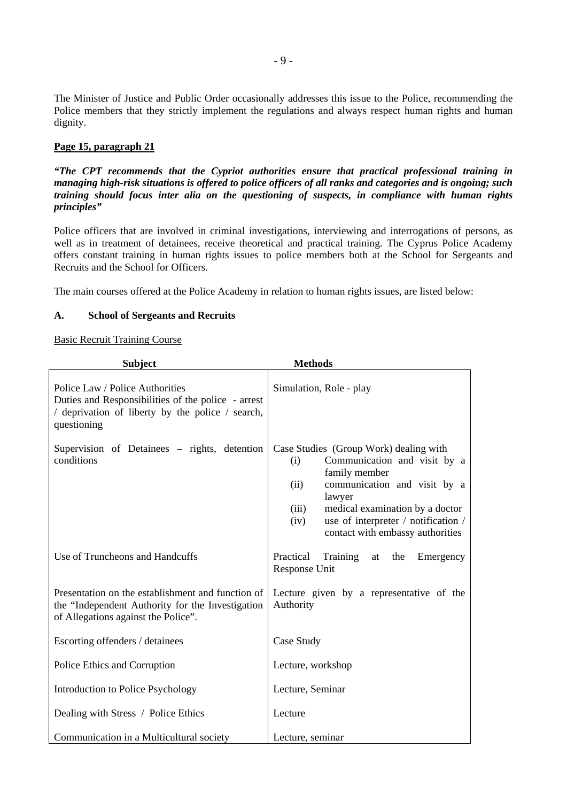The Minister of Justice and Public Order occasionally addresses this issue to the Police, recommending the Police members that they strictly implement the regulations and always respect human rights and human dignity.

# **Page 15, paragraph 21**

*"The CPT recommends that the Cypriot authorities ensure that practical professional training in managing high-risk situations is offered to police officers of all ranks and categories and is ongoing; such training should focus inter alia on the questioning of suspects, in compliance with human rights principles"* 

Police officers that are involved in criminal investigations, interviewing and interrogations of persons, as well as in treatment of detainees, receive theoretical and practical training. The Cyprus Police Academy offers constant training in human rights issues to police members both at the School for Sergeants and Recruits and the School for Officers.

The main courses offered at the Police Academy in relation to human rights issues, are listed below:

# **A. School of Sergeants and Recruits**

## Basic Recruit Training Course

| <b>Subject</b>                                                                                                                                           | <b>Methods</b>                                                                                                                                                                                                                                                                  |
|----------------------------------------------------------------------------------------------------------------------------------------------------------|---------------------------------------------------------------------------------------------------------------------------------------------------------------------------------------------------------------------------------------------------------------------------------|
| Police Law / Police Authorities<br>Duties and Responsibilities of the police - arrest<br>/ deprivation of liberty by the police / search,<br>questioning | Simulation, Role - play                                                                                                                                                                                                                                                         |
| Supervision of Detainees – rights, detention<br>conditions                                                                                               | Case Studies (Group Work) dealing with<br>Communication and visit by a<br>(i)<br>family member<br>communication and visit by a<br>(ii)<br>lawyer<br>medical examination by a doctor<br>(iii)<br>use of interpreter / notification /<br>(iv)<br>contact with embassy authorities |
| Use of Truncheons and Handcuffs                                                                                                                          | Practical<br>Training<br>at the<br>Emergency<br>Response Unit                                                                                                                                                                                                                   |
| Presentation on the establishment and function of<br>the "Independent Authority for the Investigation<br>of Allegations against the Police".             | Lecture given by a representative of the<br>Authority                                                                                                                                                                                                                           |
| Escorting offenders / detainees                                                                                                                          | Case Study                                                                                                                                                                                                                                                                      |
| Police Ethics and Corruption                                                                                                                             | Lecture, workshop                                                                                                                                                                                                                                                               |
| Introduction to Police Psychology                                                                                                                        | Lecture, Seminar                                                                                                                                                                                                                                                                |
| Dealing with Stress / Police Ethics                                                                                                                      | Lecture                                                                                                                                                                                                                                                                         |
| Communication in a Multicultural society                                                                                                                 | Lecture, seminar                                                                                                                                                                                                                                                                |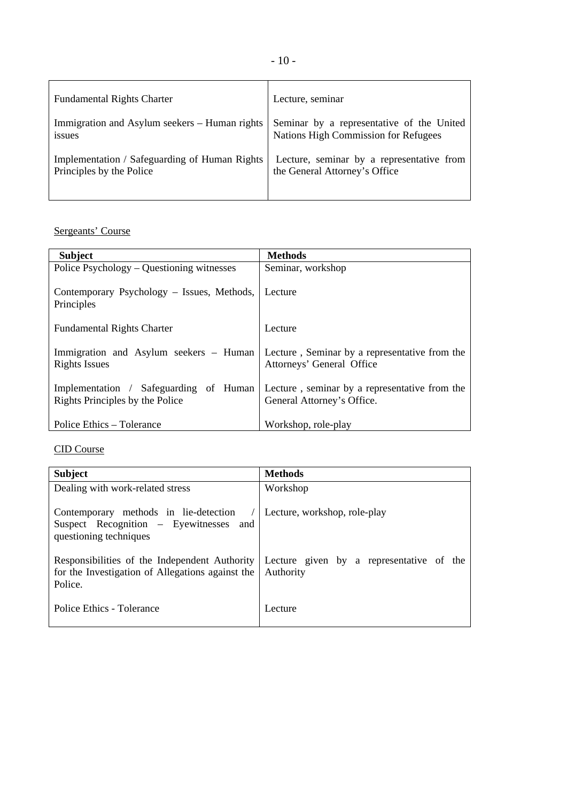| <b>Fundamental Rights Charter</b>             | Lecture, seminar                          |
|-----------------------------------------------|-------------------------------------------|
| Immigration and Asylum seekers – Human rights | Seminar by a representative of the United |
| issues                                        | Nations High Commission for Refugees      |
| Implementation / Safeguarding of Human Rights | Lecture, seminar by a representative from |
| Principles by the Police                      | the General Attorney's Office             |

# Sergeants' Course

| <b>Subject</b>                                                            | <b>Methods</b>                                                              |
|---------------------------------------------------------------------------|-----------------------------------------------------------------------------|
| Police Psychology – Questioning witnesses                                 | Seminar, workshop                                                           |
| Contemporary Psychology – Issues, Methods,<br>Principles                  | Lecture                                                                     |
| <b>Fundamental Rights Charter</b>                                         | Lecture                                                                     |
| Immigration and Asylum seekers – Human<br>Rights Issues                   | Lecture, Seminar by a representative from the<br>Attorneys' General Office  |
| Implementation / Safeguarding of Human<br>Rights Principles by the Police | Lecture, seminar by a representative from the<br>General Attorney's Office. |
| Police Ethics – Tolerance                                                 | Workshop, role-play                                                         |

# CID Course

| <b>Subject</b>                                                                                               | <b>Methods</b>                                        |
|--------------------------------------------------------------------------------------------------------------|-------------------------------------------------------|
| Dealing with work-related stress                                                                             | Workshop                                              |
| Contemporary methods in lie-detection<br>Suspect Recognition – Eyewitnesses and<br>questioning techniques    | Lecture, workshop, role-play                          |
| Responsibilities of the Independent Authority<br>for the Investigation of Allegations against the<br>Police. | Lecture given by a representative of the<br>Authority |
| Police Ethics - Tolerance                                                                                    | Lecture                                               |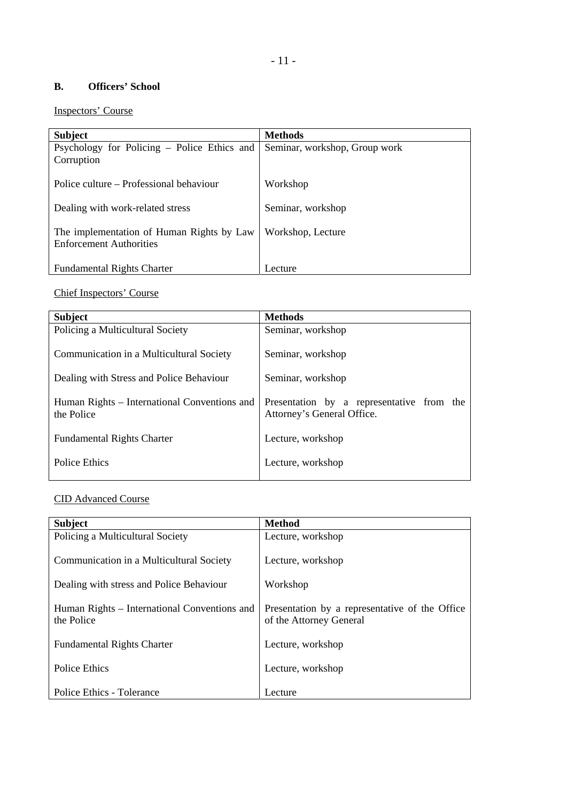# - 11 -

# **B. Officers' School**

# Inspectors' Course

| <b>Subject</b>                              | <b>Methods</b>                |
|---------------------------------------------|-------------------------------|
| Psychology for Policing – Police Ethics and | Seminar, workshop, Group work |
| Corruption                                  |                               |
|                                             |                               |
| Police culture – Professional behaviour     | Workshop                      |
|                                             |                               |
| Dealing with work-related stress            | Seminar, workshop             |
| The implementation of Human Rights by Law   | Workshop, Lecture             |
| <b>Enforcement Authorities</b>              |                               |
|                                             |                               |
| <b>Fundamental Rights Charter</b>           | Lecture                       |

# Chief Inspectors' Course

| <b>Subject</b>                                             | <b>Methods</b>                                                          |
|------------------------------------------------------------|-------------------------------------------------------------------------|
| Policing a Multicultural Society                           | Seminar, workshop                                                       |
| Communication in a Multicultural Society                   | Seminar, workshop                                                       |
| Dealing with Stress and Police Behaviour                   | Seminar, workshop                                                       |
| Human Rights – International Conventions and<br>the Police | Presentation by a representative from the<br>Attorney's General Office. |
| <b>Fundamental Rights Charter</b>                          | Lecture, workshop                                                       |
| Police Ethics                                              | Lecture, workshop                                                       |
|                                                            |                                                                         |

# CID Advanced Course

| <b>Subject</b>                               | <b>Method</b>                                  |
|----------------------------------------------|------------------------------------------------|
| Policing a Multicultural Society             | Lecture, workshop                              |
| Communication in a Multicultural Society     | Lecture, workshop                              |
| Dealing with stress and Police Behaviour     | Workshop                                       |
|                                              |                                                |
| Human Rights – International Conventions and | Presentation by a representative of the Office |
| the Police                                   | of the Attorney General                        |
| <b>Fundamental Rights Charter</b>            | Lecture, workshop                              |
|                                              |                                                |
| Police Ethics                                | Lecture, workshop                              |
|                                              |                                                |
| Police Ethics - Tolerance                    | Lecture                                        |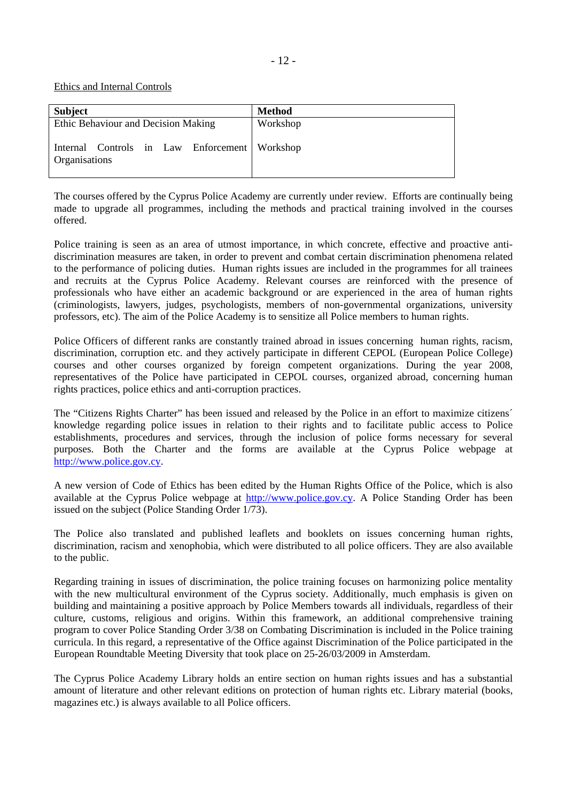- 12 -

Ethics and Internal Controls

| <b>Subject</b>                                                   | <b>Method</b> |
|------------------------------------------------------------------|---------------|
| Ethic Behaviour and Decision Making                              | Workshop      |
| Internal Controls in Law Enforcement   Workshop<br>Organisations |               |

The courses offered by the Cyprus Police Academy are currently under review. Efforts are continually being made to upgrade all programmes, including the methods and practical training involved in the courses offered.

Police training is seen as an area of utmost importance, in which concrete, effective and proactive antidiscrimination measures are taken, in order to prevent and combat certain discrimination phenomena related to the performance of policing duties.Human rights issues are included in the programmes for all trainees and recruits at the Cyprus Police Academy. Relevant courses are reinforced with the presence of professionals who have either an academic background or are experienced in the area of human rights (criminologists, lawyers, judges, psychologists, members of non-governmental organizations, university professors, etc). The aim of the Police Academy is to sensitize all Police members to human rights.

Police Officers of different ranks are constantly trained abroad in issues concerning human rights, racism, discrimination, corruption etc. and they actively participate in different CEPOL (European Police College) courses and other courses organized by foreign competent organizations. During the year 2008, representatives of the Police have participated in CEPOL courses, organized abroad, concerning human rights practices, police ethics and anti-corruption practices.

The "Citizens Rights Charter" has been issued and released by the Police in an effort to maximize citizens´ knowledge regarding police issues in relation to their rights and to facilitate public access to Police establishments, procedures and services, through the inclusion of police forms necessary for several purposes. Both the Charter and the forms are available at the Cyprus Police webpage at [http://www.police.gov.cy.](http://www.police.gov.cy/)

A new version of Code of Ethics has been edited by the Human Rights Office of the Police, which is also available at the Cyprus Police webpage at [http://www.police.gov.cy.](http://www.police.gov.cy/) A Police Standing Order has been issued on the subject (Police Standing Order 1/73).

The Police also translated and published leaflets and booklets on issues concerning human rights, discrimination, racism and xenophobia, which were distributed to all police officers. They are also available to the public.

Regarding training in issues of discrimination, the police training focuses on harmonizing police mentality with the new multicultural environment of the Cyprus society. Additionally, much emphasis is given on building and maintaining a positive approach by Police Members towards all individuals, regardless of their culture, customs, religious and origins. Within this framework, an additional comprehensive training program to cover Police Standing Order 3/38 on Combating Discrimination is included in the Police training curricula. In this regard, a representative of the Office against Discrimination of the Police participated in the European Roundtable Meeting Diversity that took place on 25-26/03/2009 in Amsterdam.

The Cyprus Police Academy Library holds an entire section on human rights issues and has a substantial amount of literature and other relevant editions on protection of human rights etc. Library material (books, magazines etc.) is always available to all Police officers.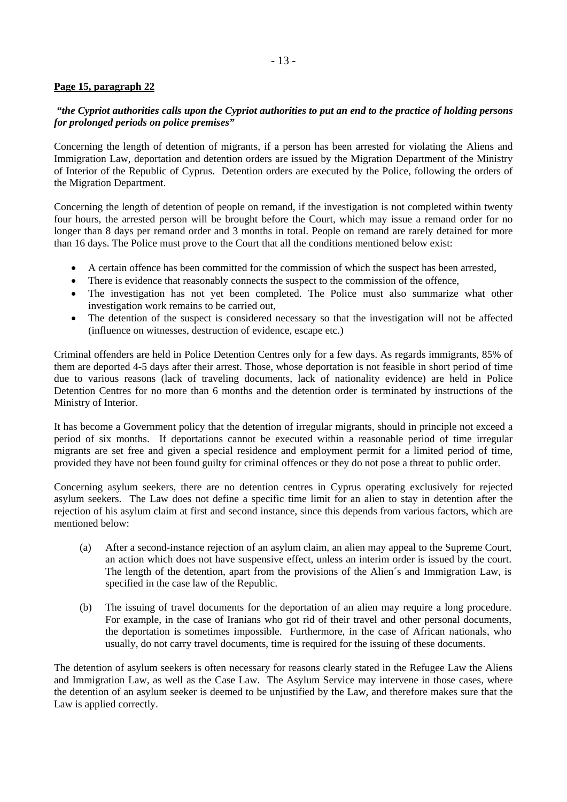# **Page 15, paragraph 22**

# *"the Cypriot authorities calls upon the Cypriot authorities to put an end to the practice of holding persons for prolonged periods on police premises"*

Concerning the length of detention of migrants, if a person has been arrested for violating the Aliens and Immigration Law, deportation and detention orders are issued by the Migration Department of the Ministry of Interior of the Republic of Cyprus. Detention orders are executed by the Police, following the orders of the Migration Department.

Concerning the length of detention of people on remand, if the investigation is not completed within twenty four hours, the arrested person will be brought before the Court, which may issue a remand order for no longer than 8 days per remand order and 3 months in total. People on remand are rarely detained for more than 16 days. The Police must prove to the Court that all the conditions mentioned below exist:

- A certain offence has been committed for the commission of which the suspect has been arrested,
- There is evidence that reasonably connects the suspect to the commission of the offence,
- The investigation has not yet been completed. The Police must also summarize what other investigation work remains to be carried out,
- The detention of the suspect is considered necessary so that the investigation will not be affected (influence on witnesses, destruction of evidence, escape etc.)

Criminal offenders are held in Police Detention Centres only for a few days. As regards immigrants, 85% of them are deported 4-5 days after their arrest. Those, whose deportation is not feasible in short period of time due to various reasons (lack of traveling documents, lack of nationality evidence) are held in Police Detention Centres for no more than 6 months and the detention order is terminated by instructions of the Ministry of Interior.

It has become a Government policy that the detention of irregular migrants, should in principle not exceed a period of six months. If deportations cannot be executed within a reasonable period of time irregular migrants are set free and given a special residence and employment permit for a limited period of time, provided they have not been found guilty for criminal offences or they do not pose a threat to public order.

Concerning asylum seekers, there are no detention centres in Cyprus operating exclusively for rejected asylum seekers. The Law does not define a specific time limit for an alien to stay in detention after the rejection of his asylum claim at first and second instance, since this depends from various factors, which are mentioned below:

- (a) After a second-instance rejection of an asylum claim, an alien may appeal to the Supreme Court, an action which does not have suspensive effect, unless an interim order is issued by the court. The length of the detention, apart from the provisions of the Alien´s and Immigration Law, is specified in the case law of the Republic.
- (b) The issuing of travel documents for the deportation of an alien may require a long procedure. For example, in the case of Iranians who got rid of their travel and other personal documents, the deportation is sometimes impossible. Furthermore, in the case of African nationals, who usually, do not carry travel documents, time is required for the issuing of these documents.

The detention of asylum seekers is often necessary for reasons clearly stated in the Refugee Law the Aliens and Immigration Law, as well as the Case Law. The Asylum Service may intervene in those cases, where the detention of an asylum seeker is deemed to be unjustified by the Law, and therefore makes sure that the Law is applied correctly.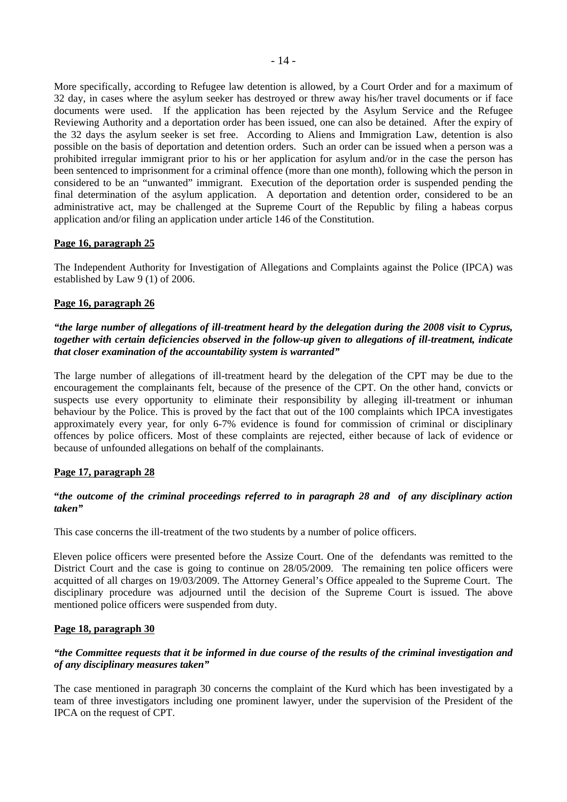More specifically, according to Refugee law detention is allowed, by a Court Order and for a maximum of 32 day, in cases where the asylum seeker has destroyed or threw away his/her travel documents or if face documents were used. If the application has been rejected by the Asylum Service and the Refugee Reviewing Authority and a deportation order has been issued, one can also be detained. After the expiry of the 32 days the asylum seeker is set free. According to Aliens and Immigration Law, detention is also possible on the basis of deportation and detention orders. Such an order can be issued when a person was a prohibited irregular immigrant prior to his or her application for asylum and/or in the case the person has been sentenced to imprisonment for a criminal offence (more than one month), following which the person in considered to be an "unwanted" immigrant. Execution of the deportation order is suspended pending the final determination of the asylum application. A deportation and detention order, considered to be an administrative act, may be challenged at the Supreme Court of the Republic by filing a habeas corpus application and/or filing an application under article 146 of the Constitution.

## **Page 16, paragraph 25**

The Independent Authority for Investigation of Allegations and Complaints against the Police (IPCA) was established by Law 9 (1) of 2006.

#### **Page 16, paragraph 26**

## *"the large number of allegations of ill-treatment heard by the delegation during the 2008 visit to Cyprus, together with certain deficiencies observed in the follow-up given to allegations of ill-treatment, indicate that closer examination of the accountability system is warranted"*

The large number of allegations of ill-treatment heard by the delegation of the CPT may be due to the encouragement the complainants felt, because of the presence of the CPT. On the other hand, convicts or suspects use every opportunity to eliminate their responsibility by alleging ill-treatment or inhuman behaviour by the Police. This is proved by the fact that out of the 100 complaints which IPCA investigates approximately every year, for only 6-7% evidence is found for commission of criminal or disciplinary offences by police officers. Most of these complaints are rejected, either because of lack of evidence or because of unfounded allegations on behalf of the complainants.

## **Page 17, paragraph 28**

## **"***the outcome of the criminal proceedings referred to in paragraph 28 and of any disciplinary action taken"*

This case concerns the ill-treatment of the two students by a number of police officers.

 Eleven police officers were presented before the Assize Court. One of the defendants was remitted to the District Court and the case is going to continue on 28/05/2009. The remaining ten police officers were acquitted of all charges on 19/03/2009. The Attorney General's Office appealed to the Supreme Court. The disciplinary procedure was adjourned until the decision of the Supreme Court is issued. The above mentioned police officers were suspended from duty.

#### **Page 18, paragraph 30**

## *"the Committee requests that it be informed in due course of the results of the criminal investigation and of any disciplinary measures taken"*

The case mentioned in paragraph 30 concerns the complaint of the Kurd which has been investigated by a team of three investigators including one prominent lawyer, under the supervision of the President of the IPCA on the request of CPT.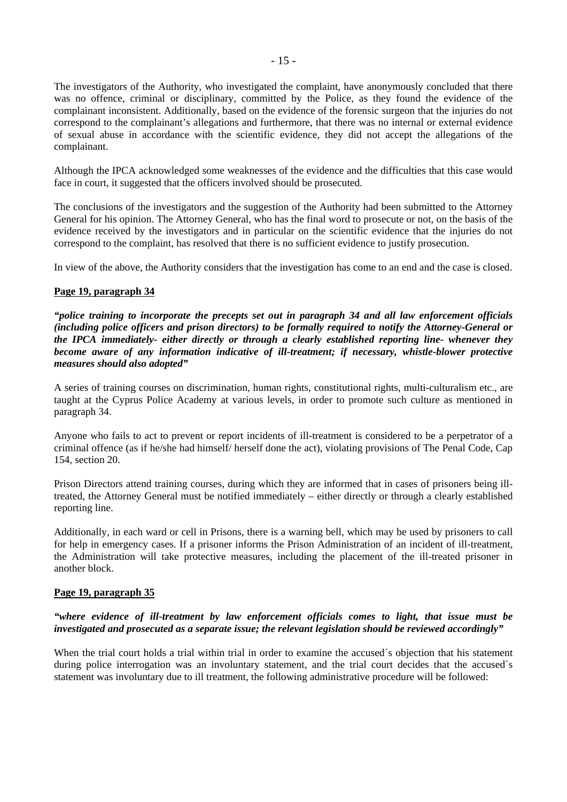The investigators of the Authority, who investigated the complaint, have anonymously concluded that there was no offence, criminal or disciplinary, committed by the Police, as they found the evidence of the complainant inconsistent. Additionally, based on the evidence of the forensic surgeon that the injuries do not correspond to the complainant's allegations and furthermore, that there was no internal or external evidence of sexual abuse in accordance with the scientific evidence, they did not accept the allegations of the complainant.

Although the IPCA acknowledged some weaknesses of the evidence and the difficulties that this case would face in court, it suggested that the officers involved should be prosecuted.

The conclusions of the investigators and the suggestion of the Authority had been submitted to the Attorney General for his opinion. The Attorney General, who has the final word to prosecute or not, on the basis of the evidence received by the investigators and in particular on the scientific evidence that the injuries do not correspond to the complaint, has resolved that there is no sufficient evidence to justify prosecution.

In view of the above, the Authority considers that the investigation has come to an end and the case is closed.

## **Page 19, paragraph 34**

*"police training to incorporate the precepts set out in paragraph 34 and all law enforcement officials (including police officers and prison directors) to be formally required to notify the Attorney-General or the IPCA immediately- either directly or through a clearly established reporting line- whenever they become aware of any information indicative of ill-treatment; if necessary, whistle-blower protective measures should also adopted"* 

A series of training courses on discrimination, human rights, constitutional rights, multi-culturalism etc., are taught at the Cyprus Police Academy at various levels, in order to promote such culture as mentioned in paragraph 34.

Anyone who fails to act to prevent or report incidents of ill-treatment is considered to be a perpetrator of a criminal offence (as if he/she had himself/ herself done the act), violating provisions of The Penal Code, Cap 154, section 20.

Prison Directors attend training courses, during which they are informed that in cases of prisoners being illtreated, the Attorney General must be notified immediately – either directly or through a clearly established reporting line.

Additionally, in each ward or cell in Prisons, there is a warning bell, which may be used by prisoners to call for help in emergency cases. If a prisoner informs the Prison Administration of an incident of ill-treatment, the Administration will take protective measures, including the placement of the ill-treated prisoner in another block.

## **Page 19, paragraph 35**

## *"where evidence of ill-treatment by law enforcement officials comes to light, that issue must be investigated and prosecuted as a separate issue; the relevant legislation should be reviewed accordingly"*

When the trial court holds a trial within trial in order to examine the accused's objection that his statement during police interrogation was an involuntary statement, and the trial court decides that the accused's statement was involuntary due to ill treatment, the following administrative procedure will be followed: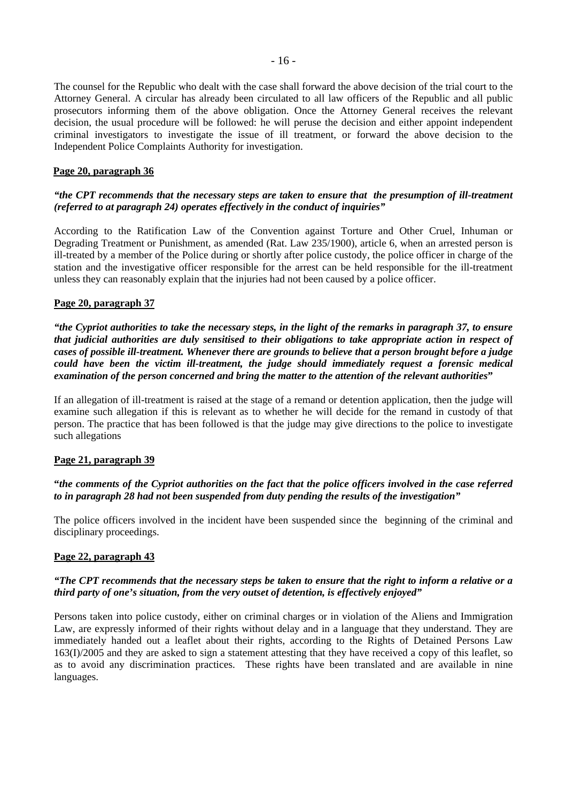The counsel for the Republic who dealt with the case shall forward the above decision of the trial court to the Attorney General. A circular has already been circulated to all law officers of the Republic and all public prosecutors informing them of the above obligation. Once the Attorney General receives the relevant decision, the usual procedure will be followed: he will peruse the decision and either appoint independent criminal investigators to investigate the issue of ill treatment, or forward the above decision to the Independent Police Complaints Authority for investigation.

## **Page 20, paragraph 36**

# *"the CPT recommends that the necessary steps are taken to ensure that the presumption of ill-treatment (referred to at paragraph 24) operates effectively in the conduct of inquiries"*

According to the Ratification Law of the Convention against Torture and Other Cruel, Inhuman or Degrading Treatment or Punishment, as amended (Rat. Law 235/1900), article 6, when an arrested person is ill-treated by a member of the Police during or shortly after police custody, the police officer in charge of the station and the investigative officer responsible for the arrest can be held responsible for the ill-treatment unless they can reasonably explain that the injuries had not been caused by a police officer.

## **Page 20, paragraph 37**

*"the Cypriot authorities to take the necessary steps, in the light of the remarks in paragraph 37, to ensure that judicial authorities are duly sensitised to their obligations to take appropriate action in respect of cases of possible ill-treatment. Whenever there are grounds to believe that a person brought before a judge could have been the victim ill-treatment, the judge should immediately request a forensic medical examination of the person concerned and bring the matter to the attention of the relevant authorities***"** 

If an allegation of ill-treatment is raised at the stage of a remand or detention application, then the judge will examine such allegation if this is relevant as to whether he will decide for the remand in custody of that person. The practice that has been followed is that the judge may give directions to the police to investigate such allegations

## **Page 21, paragraph 39**

# **"***the comments of the Cypriot authorities on the fact that the police officers involved in the case referred to in paragraph 28 had not been suspended from duty pending the results of the investigation"*

The police officers involved in the incident have been suspended since the beginning of the criminal and disciplinary proceedings.

# **Page 22, paragraph 43**

# *"The CPT recommends that the necessary steps be taken to ensure that the right to inform a relative or a third party of one's situation, from the very outset of detention, is effectively enjoyed"*

Persons taken into police custody, either on criminal charges or in violation of the Aliens and Immigration Law, are expressly informed of their rights without delay and in a language that they understand. They are immediately handed out a leaflet about their rights, according to the Rights of Detained Persons Law 163(I)/2005 and they are asked to sign a statement attesting that they have received a copy of this leaflet, so as to avoid any discrimination practices. These rights have been translated and are available in nine languages.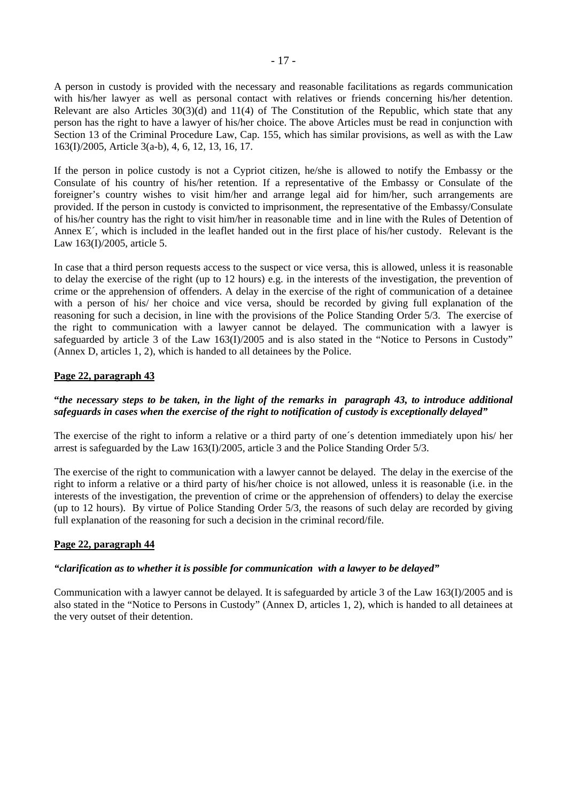A person in custody is provided with the necessary and reasonable facilitations as regards communication with his/her lawyer as well as personal contact with relatives or friends concerning his/her detention. Relevant are also Articles  $30(3)(d)$  and  $11(4)$  of The Constitution of the Republic, which state that any person has the right to have a lawyer of his/her choice. The above Articles must be read in conjunction with Section 13 of the Criminal Procedure Law, Cap. 155, which has similar provisions, as well as with the Law 163(I)/2005, Article 3(a-b), 4, 6, 12, 13, 16, 17.

If the person in police custody is not a Cypriot citizen, he/she is allowed to notify the Embassy or the Consulate of his country of his/her retention. If a representative of the Embassy or Consulate of the foreigner's country wishes to visit him/her and arrange legal aid for him/her, such arrangements are provided. If the person in custody is convicted to imprisonment, the representative of the Embassy/Consulate of his/her country has the right to visit him/her in reasonable time and in line with the Rules of Detention of Annex E´, which is included in the leaflet handed out in the first place of his/her custody. Relevant is the Law 163(I)/2005, article 5.

In case that a third person requests access to the suspect or vice versa, this is allowed, unless it is reasonable to delay the exercise of the right (up to 12 hours) e.g. in the interests of the investigation, the prevention of crime or the apprehension of offenders. A delay in the exercise of the right of communication of a detainee with a person of his/ her choice and vice versa, should be recorded by giving full explanation of the reasoning for such a decision, in line with the provisions of the Police Standing Order 5/3. The exercise of the right to communication with a lawyer cannot be delayed. The communication with a lawyer is safeguarded by article 3 of the Law 163(I)/2005 and is also stated in the "Notice to Persons in Custody" (Annex D, articles 1, 2), which is handed to all detainees by the Police.

# **Page 22, paragraph 43**

## **"***the necessary steps to be taken, in the light of the remarks in paragraph 43, to introduce additional safeguards in cases when the exercise of the right to notification of custody is exceptionally delayed"*

The exercise of the right to inform a relative or a third party of one´s detention immediately upon his/ her arrest is safeguarded by the Law 163(I)/2005, article 3 and the Police Standing Order 5/3.

The exercise of the right to communication with a lawyer cannot be delayed. The delay in the exercise of the right to inform a relative or a third party of his/her choice is not allowed, unless it is reasonable (i.e. in the interests of the investigation, the prevention of crime or the apprehension of offenders) to delay the exercise (up to 12 hours). By virtue of Police Standing Order 5/3, the reasons of such delay are recorded by giving full explanation of the reasoning for such a decision in the criminal record/file.

## **Page 22, paragraph 44**

## *"clarification as to whether it is possible for communication with a lawyer to be delayed"*

Communication with a lawyer cannot be delayed. It is safeguarded by article 3 of the Law 163(I)/2005 and is also stated in the "Notice to Persons in Custody" (Annex D, articles 1, 2), which is handed to all detainees at the very outset of their detention.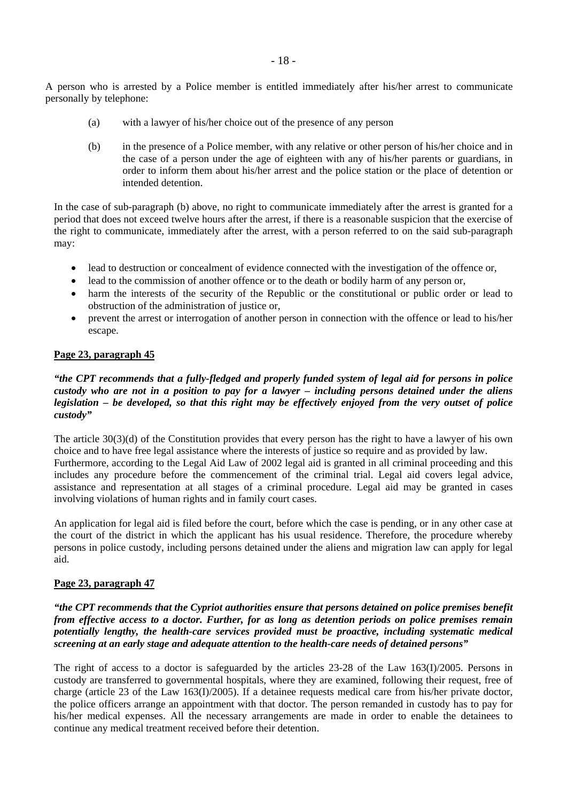A person who is arrested by a Police member is entitled immediately after his/her arrest to communicate personally by telephone:

- (a) with a lawyer of his/her choice out of the presence of any person
- (b) in the presence of a Police member, with any relative or other person of his/her choice and in the case of a person under the age of eighteen with any of his/her parents or guardians, in order to inform them about his/her arrest and the police station or the place of detention or intended detention.

In the case of sub-paragraph (b) above, no right to communicate immediately after the arrest is granted for a period that does not exceed twelve hours after the arrest, if there is a reasonable suspicion that the exercise of the right to communicate, immediately after the arrest, with a person referred to on the said sub-paragraph may:

- lead to destruction or concealment of evidence connected with the investigation of the offence or,
- lead to the commission of another offence or to the death or bodily harm of any person or,
- harm the interests of the security of the Republic or the constitutional or public order or lead to obstruction of the administration of justice or,
- prevent the arrest or interrogation of another person in connection with the offence or lead to his/her escape.

## **Page 23, paragraph 45**

## *"the CPT recommends that a fully-fledged and properly funded system of legal aid for persons in police custody who are not in a position to pay for a lawyer – including persons detained under the aliens legislation – be developed, so that this right may be effectively enjoyed from the very outset of police custody"*

The article 30(3)(d) of the Constitution provides that every person has the right to have a lawyer of his own choice and to have free legal assistance where the interests of justice so require and as provided by law. Furthermore, according to the Legal Aid Law of 2002 legal aid is granted in all criminal proceeding and this includes any procedure before the commencement of the criminal trial. Legal aid covers legal advice, assistance and representation at all stages of a criminal procedure. Legal aid may be granted in cases involving violations of human rights and in family court cases.

An application for legal aid is filed before the court, before which the case is pending, or in any other case at the court of the district in which the applicant has his usual residence. Therefore, the procedure whereby persons in police custody, including persons detained under the aliens and migration law can apply for legal aid.

## **Page 23, paragraph 47**

#### *"the CPT recommends that the Cypriot authorities ensure that persons detained on police premises benefit from effective access to a doctor. Further, for as long as detention periods on police premises remain potentially lengthy, the health-care services provided must be proactive, including systematic medical screening at an early stage and adequate attention to the health-care needs of detained persons"*

The right of access to a doctor is safeguarded by the articles 23-28 of the Law 163(I)/2005. Persons in custody are transferred to governmental hospitals, where they are examined, following their request, free of charge (article 23 of the Law 163(I)/2005). If a detainee requests medical care from his/her private doctor, the police officers arrange an appointment with that doctor. The person remanded in custody has to pay for his/her medical expenses. All the necessary arrangements are made in order to enable the detainees to continue any medical treatment received before their detention.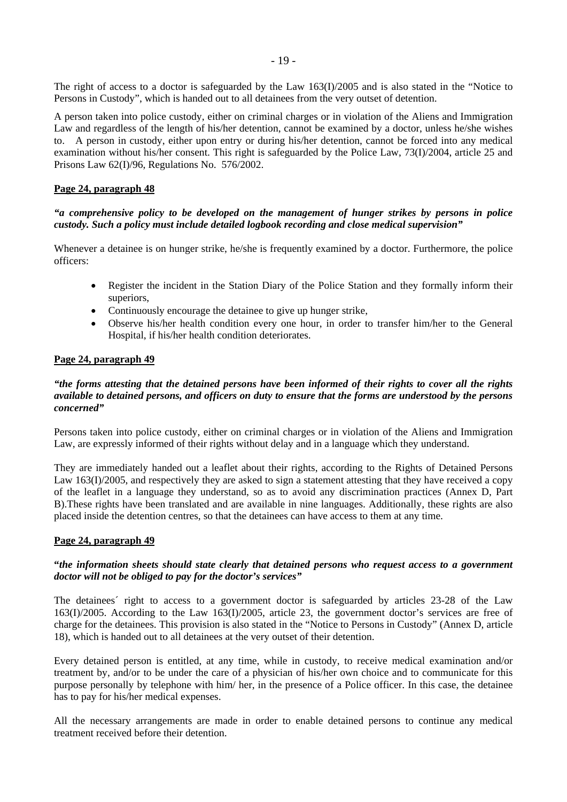- 19 -

The right of access to a doctor is safeguarded by the Law 163(I)/2005 and is also stated in the "Notice to Persons in Custody", which is handed out to all detainees from the very outset of detention.

A person taken into police custody, either on criminal charges or in violation of the Aliens and Immigration Law and regardless of the length of his/her detention, cannot be examined by a doctor, unless he/she wishes to. A person in custody, either upon entry or during his/her detention, cannot be forced into any medical examination without his/her consent. This right is safeguarded by the Police Law, 73(I)/2004, article 25 and Prisons Law 62(I)/96, Regulations No. 576/2002.

# **Page 24, paragraph 48**

## *"a comprehensive policy to be developed on the management of hunger strikes by persons in police custody. Such a policy must include detailed logbook recording and close medical supervision"*

Whenever a detainee is on hunger strike, he/she is frequently examined by a doctor. Furthermore, the police officers:

- Register the incident in the Station Diary of the Police Station and they formally inform their superiors,
- Continuously encourage the detainee to give up hunger strike,
- Observe his/her health condition every one hour, in order to transfer him/her to the General Hospital, if his/her health condition deteriorates.

## **Page 24, paragraph 49**

## *"the forms attesting that the detained persons have been informed of their rights to cover all the rights available to detained persons, and officers on duty to ensure that the forms are understood by the persons concerned"*

Persons taken into police custody, either on criminal charges or in violation of the Aliens and Immigration Law, are expressly informed of their rights without delay and in a language which they understand.

They are immediately handed out a leaflet about their rights, according to the Rights of Detained Persons Law 163(I)/2005, and respectively they are asked to sign a statement attesting that they have received a copy of the leaflet in a language they understand, so as to avoid any discrimination practices (Annex D, Part B).These rights have been translated and are available in nine languages. Additionally, these rights are also placed inside the detention centres, so that the detainees can have access to them at any time.

## **Page 24, paragraph 49**

## **"***the information sheets should state clearly that detained persons who request access to a government doctor will not be obliged to pay for the doctor's services"*

The detainees´ right to access to a government doctor is safeguarded by articles 23-28 of the Law 163(I)/2005. According to the Law 163(I)/2005, article 23, the government doctor's services are free of charge for the detainees. This provision is also stated in the "Notice to Persons in Custody" (Annex D, article 18), which is handed out to all detainees at the very outset of their detention.

Every detained person is entitled, at any time, while in custody, to receive medical examination and/or treatment by, and/or to be under the care of a physician of his/her own choice and to communicate for this purpose personally by telephone with him/ her, in the presence of a Police officer. In this case, the detainee has to pay for his/her medical expenses.

All the necessary arrangements are made in order to enable detained persons to continue any medical treatment received before their detention.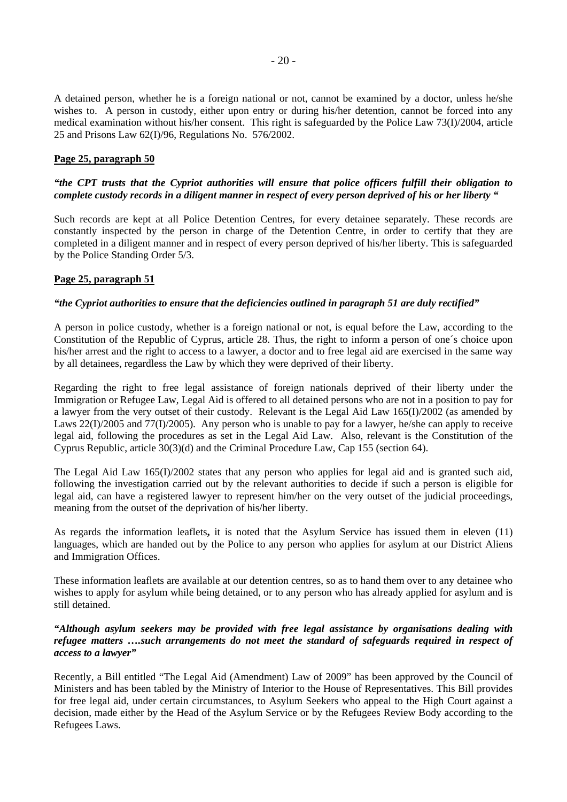A detained person, whether he is a foreign national or not, cannot be examined by a doctor, unless he/she wishes to. A person in custody, either upon entry or during his/her detention, cannot be forced into any medical examination without his/her consent. This right is safeguarded by the Police Law 73(I)/2004, article 25 and Prisons Law 62(I)/96, Regulations No. 576/2002.

## **Page 25, paragraph 50**

## *"the CPT trusts that the Cypriot authorities will ensure that police officers fulfill their obligation to complete custody records in a diligent manner in respect of every person deprived of his or her liberty "*

Such records are kept at all Police Detention Centres, for every detainee separately. These records are constantly inspected by the person in charge of the Detention Centre, in order to certify that they are completed in a diligent manner and in respect of every person deprived of his/her liberty. This is safeguarded by the Police Standing Order 5/3.

## **Page 25, paragraph 51**

#### *"the Cypriot authorities to ensure that the deficiencies outlined in paragraph 51 are duly rectified"*

A person in police custody, whether is a foreign national or not, is equal before the Law, according to the Constitution of the Republic of Cyprus, article 28. Thus, the right to inform a person of one´s choice upon his/her arrest and the right to access to a lawyer, a doctor and to free legal aid are exercised in the same way by all detainees, regardless the Law by which they were deprived of their liberty.

Regarding the right to free legal assistance of foreign nationals deprived of their liberty under the Immigration or Refugee Law, Legal Aid is offered to all detained persons who are not in a position to pay for a lawyer from the very outset of their custody. Relevant is the Legal Aid Law 165(I)/2002 (as amended by Laws 22(I)/2005 and 77(I)/2005). Any person who is unable to pay for a lawyer, he/she can apply to receive legal aid, following the procedures as set in the Legal Aid Law. Also, relevant is the Constitution of the Cyprus Republic, article 30(3)(d) and the Criminal Procedure Law, Cap 155 (section 64).

The Legal Aid Law 165(I)/2002 states that any person who applies for legal aid and is granted such aid, following the investigation carried out by the relevant authorities to decide if such a person is eligible for legal aid, can have a registered lawyer to represent him/her on the very outset of the judicial proceedings, meaning from the outset of the deprivation of his/her liberty.

As regards the information leaflets**,** it is noted that the Asylum Service has issued them in eleven (11) languages, which are handed out by the Police to any person who applies for asylum at our District Aliens and Immigration Offices.

These information leaflets are available at our detention centres, so as to hand them over to any detainee who wishes to apply for asylum while being detained, or to any person who has already applied for asylum and is still detained.

## *"Although asylum seekers may be provided with free legal assistance by organisations dealing with refugee matters ….such arrangements do not meet the standard of safeguards required in respect of access to a lawyer"*

Recently, a Bill entitled "The Legal Aid (Amendment) Law of 2009" has been approved by the Council of Ministers and has been tabled by the Ministry of Interior to the House of Representatives. This Bill provides for free legal aid, under certain circumstances, to Asylum Seekers who appeal to the High Court against a decision, made either by the Head of the Asylum Service or by the Refugees Review Body according to the Refugees Laws.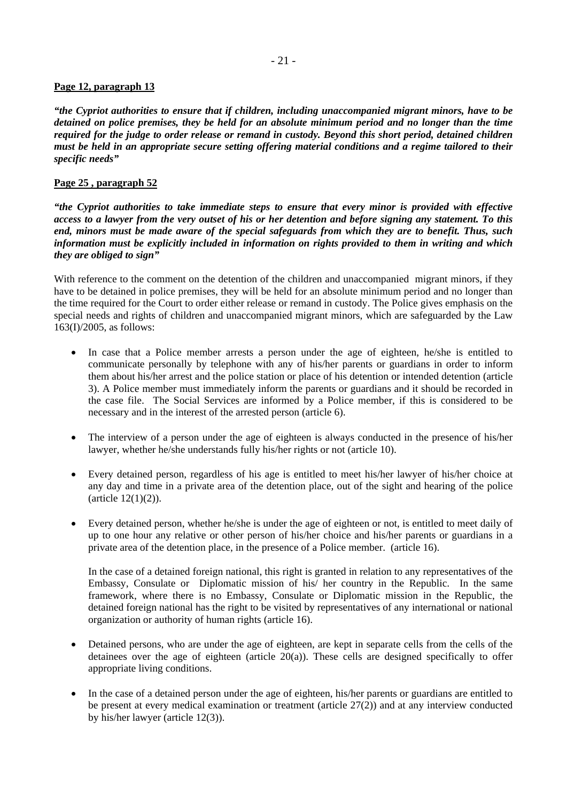# **Page 12, paragraph 13**

*"the Cypriot authorities to ensure that if children, including unaccompanied migrant minors, have to be detained on police premises, they be held for an absolute minimum period and no longer than the time required for the judge to order release or remand in custody. Beyond this short period, detained children must be held in an appropriate secure setting offering material conditions and a regime tailored to their specific needs"* 

# **Page 25 , paragraph 52**

*"the Cypriot authorities to take immediate steps to ensure that every minor is provided with effective access to a lawyer from the very outset of his or her detention and before signing any statement. To this end, minors must be made aware of the special safeguards from which they are to benefit. Thus, such information must be explicitly included in information on rights provided to them in writing and which they are obliged to sign"* 

With reference to the comment on the detention of the children and unaccompanied migrant minors, if they have to be detained in police premises, they will be held for an absolute minimum period and no longer than the time required for the Court to order either release or remand in custody. The Police gives emphasis on the special needs and rights of children and unaccompanied migrant minors, which are safeguarded by the Law 163(I)/2005, as follows:

- In case that a Police member arrests a person under the age of eighteen, he/she is entitled to communicate personally by telephone with any of his/her parents or guardians in order to inform them about his/her arrest and the police station or place of his detention or intended detention (article 3). A Police member must immediately inform the parents or guardians and it should be recorded in the case file. The Social Services are informed by a Police member, if this is considered to be necessary and in the interest of the arrested person (article 6).
- The interview of a person under the age of eighteen is always conducted in the presence of his/her lawyer, whether he/she understands fully his/her rights or not (article 10).
- Every detained person, regardless of his age is entitled to meet his/her lawyer of his/her choice at any day and time in a private area of the detention place, out of the sight and hearing of the police (article 12(1)(2)).
- Every detained person, whether he/she is under the age of eighteen or not, is entitled to meet daily of up to one hour any relative or other person of his/her choice and his/her parents or guardians in a private area of the detention place, in the presence of a Police member. (article 16).

In the case of a detained foreign national, this right is granted in relation to any representatives of the Embassy, Consulate or Diplomatic mission of his/ her country in the Republic. In the same framework, where there is no Embassy, Consulate or Diplomatic mission in the Republic, the detained foreign national has the right to be visited by representatives of any international or national organization or authority of human rights (article 16).

- Detained persons, who are under the age of eighteen, are kept in separate cells from the cells of the detainees over the age of eighteen (article 20(a)). These cells are designed specifically to offer appropriate living conditions.
- In the case of a detained person under the age of eighteen, his/her parents or guardians are entitled to be present at every medical examination or treatment (article 27(2)) and at any interview conducted by his/her lawyer (article 12(3)).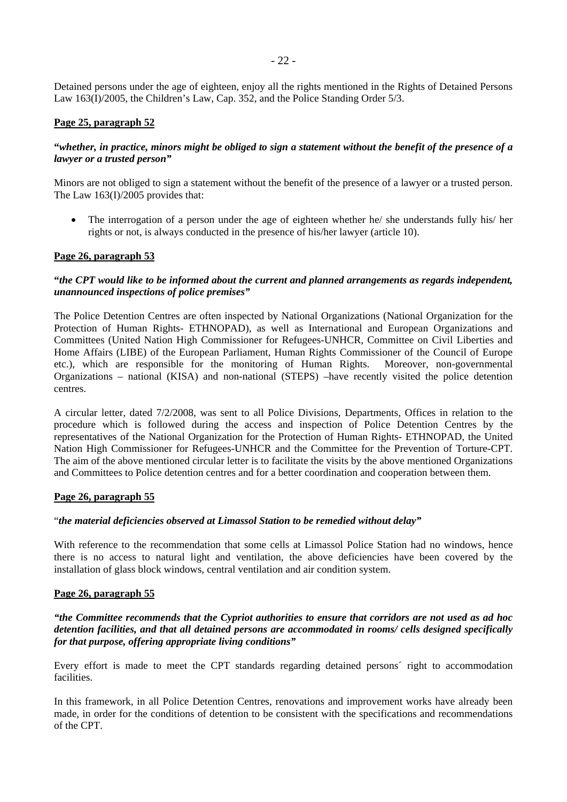Detained persons under the age of eighteen, enjoy all the rights mentioned in the Rights of Detained Persons Law 163(I)/2005, the Children's Law, Cap. 352, and the Police Standing Order 5/3.

## **Page 25, paragraph 52**

## **"***whether, in practice, minors might be obliged to sign a statement without the benefit of the presence of a lawyer or a trusted person"*

Minors are not obliged to sign a statement without the benefit of the presence of a lawyer or a trusted person. The Law 163(I)/2005 provides that:

• The interrogation of a person under the age of eighteen whether he/ she understands fully his/ her rights or not, is always conducted in the presence of his/her lawyer (article 10).

## **Page 26, paragraph 53**

## **"***the CPT would like to be informed about the current and planned arrangements as regards independent, unannounced inspections of police premises"*

The Police Detention Centres are often inspected by National Organizations (National Organization for the Protection of Human Rights- ETHNOPAD), as well as International and European Organizations and Committees (United Nation High Commissioner for Refugees-UNHCR, Committee on Civil Liberties and Home Affairs (LIBE) of the European Parliament, Human Rights Commissioner of the Council of Europe etc.), which are responsible for the monitoring of Human Rights. Moreover, non-governmental Organizations – national (KISA) and non-national (STEPS) –have recently visited the police detention centres.

A circular letter, dated 7/2/2008, was sent to all Police Divisions, Departments, Offices in relation to the procedure which is followed during the access and inspection of Police Detention Centres by the representatives of the National Organization for the Protection of Human Rights- ETHNOPAD, the United Nation High Commissioner for Refugees-UNHCR and the Committee for the Prevention of Torture-CPT. The aim of the above mentioned circular letter is to facilitate the visits by the above mentioned Organizations and Committees to Police detention centres and for a better coordination and cooperation between them.

#### **Page 26, paragraph 55**

## "*the material deficiencies observed at Limassol Station to be remedied without delay"*

With reference to the recommendation that some cells at Limassol Police Station had no windows, hence there is no access to natural light and ventilation, the above deficiencies have been covered by the installation of glass block windows, central ventilation and air condition system.

## **Page 26, paragraph 55**

#### *"the Committee recommends that the Cypriot authorities to ensure that corridors are not used as ad hoc detention facilities, and that all detained persons are accommodated in rooms/ cells designed specifically for that purpose, offering appropriate living conditions"*

Every effort is made to meet the CPT standards regarding detained persons´ right to accommodation facilities.

In this framework, in all Police Detention Centres, renovations and improvement works have already been made, in order for the conditions of detention to be consistent with the specifications and recommendations of the CPT.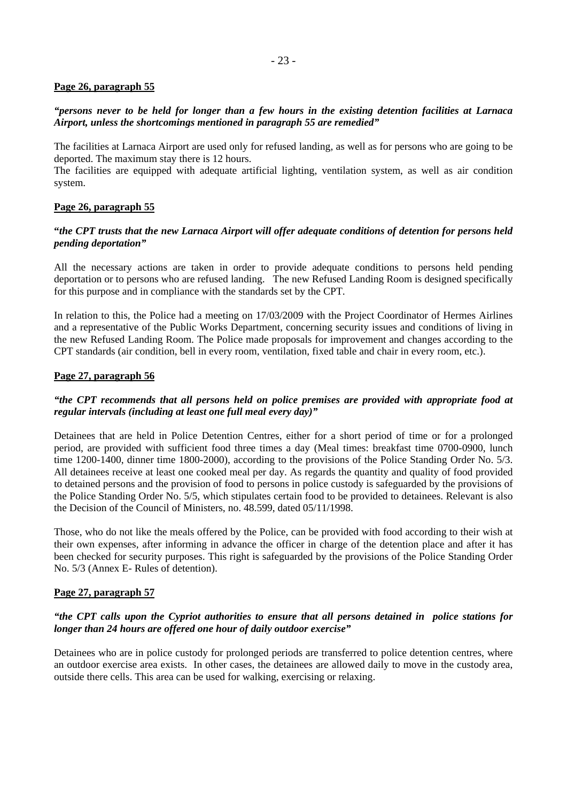## **Page 26, paragraph 55**

# *"persons never to be held for longer than a few hours in the existing detention facilities at Larnaca Airport, unless the shortcomings mentioned in paragraph 55 are remedied"*

The facilities at Larnaca Airport are used only for refused landing, as well as for persons who are going to be deported. The maximum stay there is 12 hours.

The facilities are equipped with adequate artificial lighting, ventilation system, as well as air condition system.

# **Page 26, paragraph 55**

# **"***the CPT trusts that the new Larnaca Airport will offer adequate conditions of detention for persons held pending deportation"*

All the necessary actions are taken in order to provide adequate conditions to persons held pending deportation or to persons who are refused landing. The new Refused Landing Room is designed specifically for this purpose and in compliance with the standards set by the CPT.

In relation to this, the Police had a meeting on 17/03/2009 with the Project Coordinator of Hermes Airlines and a representative of the Public Works Department, concerning security issues and conditions of living in the new Refused Landing Room. The Police made proposals for improvement and changes according to the CPT standards (air condition, bell in every room, ventilation, fixed table and chair in every room, etc.).

## **Page 27, paragraph 56**

# *"the CPT recommends that all persons held on police premises are provided with appropriate food at regular intervals (including at least one full meal every day)"*

Detainees that are held in Police Detention Centres, either for a short period of time or for a prolonged period, are provided with sufficient food three times a day (Meal times: breakfast time 0700-0900, lunch time 1200-1400, dinner time 1800-2000), according to the provisions of the Police Standing Order No. 5/3. All detainees receive at least one cooked meal per day. As regards the quantity and quality of food provided to detained persons and the provision of food to persons in police custody is safeguarded by the provisions of the Police Standing Order No. 5/5, which stipulates certain food to be provided to detainees. Relevant is also the Decision of the Council of Ministers, no. 48.599, dated 05/11/1998.

Those, who do not like the meals offered by the Police, can be provided with food according to their wish at their own expenses, after informing in advance the officer in charge of the detention place and after it has been checked for security purposes. This right is safeguarded by the provisions of the Police Standing Order No. 5/3 (Annex E- Rules of detention).

## **Page 27, paragraph 57**

# *"the CPT calls upon the Cypriot authorities to ensure that all persons detained in police stations for longer than 24 hours are offered one hour of daily outdoor exercise"*

Detainees who are in police custody for prolonged periods are transferred to police detention centres, where an outdoor exercise area exists. In other cases, the detainees are allowed daily to move in the custody area, outside there cells. This area can be used for walking, exercising or relaxing.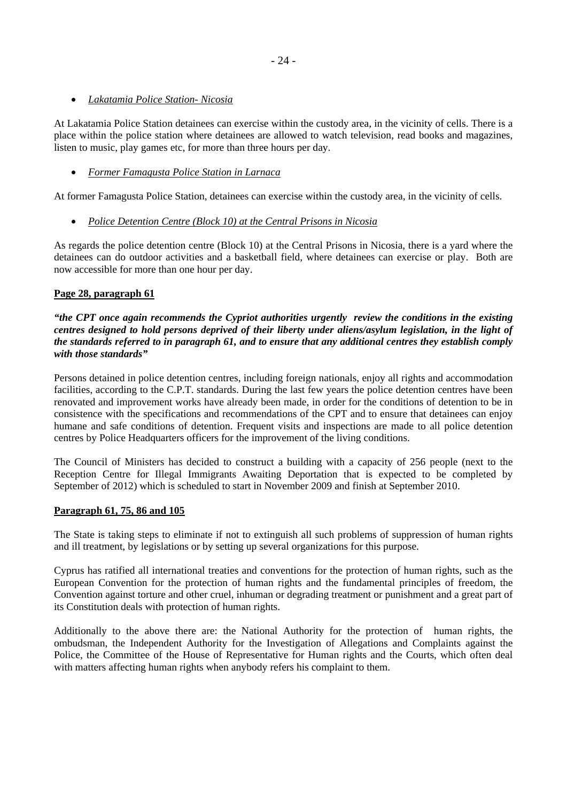- 24 -

# • *Lakatamia Police Station- Nicosia*

At Lakatamia Police Station detainees can exercise within the custody area, in the vicinity of cells. There is a place within the police station where detainees are allowed to watch television, read books and magazines, listen to music, play games etc, for more than three hours per day.

# • *Former Famagusta Police Station in Larnaca*

At former Famagusta Police Station, detainees can exercise within the custody area, in the vicinity of cells.

# • *Police Detention Centre (Block 10) at the Central Prisons in Nicosia*

As regards the police detention centre (Block 10) at the Central Prisons in Nicosia, there is a yard where the detainees can do outdoor activities and a basketball field, where detainees can exercise or play. Both are now accessible for more than one hour per day.

# **Page 28, paragraph 61**

*"the CPT once again recommends the Cypriot authorities urgently review the conditions in the existing centres designed to hold persons deprived of their liberty under aliens/asylum legislation, in the light of the standards referred to in paragraph 61, and to ensure that any additional centres they establish comply with those standards"* 

Persons detained in police detention centres, including foreign nationals, enjoy all rights and accommodation facilities, according to the C.P.T. standards. During the last few years the police detention centres have been renovated and improvement works have already been made, in order for the conditions of detention to be in consistence with the specifications and recommendations of the CPT and to ensure that detainees can enjoy humane and safe conditions of detention. Frequent visits and inspections are made to all police detention centres by Police Headquarters officers for the improvement of the living conditions.

The Council of Ministers has decided to construct a building with a capacity of 256 people (next to the Reception Centre for Illegal Immigrants Awaiting Deportation that is expected to be completed by September of 2012) which is scheduled to start in November 2009 and finish at September 2010.

## **Paragraph 61, 75, 86 and 105**

The State is taking steps to eliminate if not to extinguish all such problems of suppression of human rights and ill treatment, by legislations or by setting up several organizations for this purpose.

Cyprus has ratified all international treaties and conventions for the protection of human rights, such as the European Convention for the protection of human rights and the fundamental principles of freedom, the Convention against torture and other cruel, inhuman or degrading treatment or punishment and a great part of its Constitution deals with protection of human rights.

Additionally to the above there are: the National Authority for the protection of human rights, the ombudsman, the Independent Authority for the Investigation of Allegations and Complaints against the Police, the Committee of the House of Representative for Human rights and the Courts, which often deal with matters affecting human rights when anybody refers his complaint to them.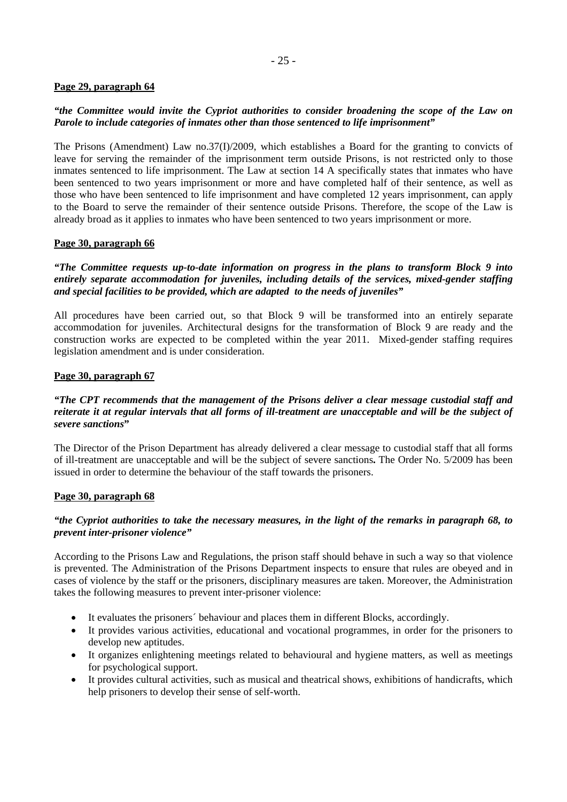# **Page 29, paragraph 64**

# *"the Committee would invite the Cypriot authorities to consider broadening the scope of the Law on Parole to include categories of inmates other than those sentenced to life imprisonment"*

The Prisons (Amendment) Law no.37(I)/2009, which establishes a Board for the granting to convicts of leave for serving the remainder of the imprisonment term outside Prisons, is not restricted only to those inmates sentenced to life imprisonment. The Law at section 14 A specifically states that inmates who have been sentenced to two years imprisonment or more and have completed half of their sentence, as well as those who have been sentenced to life imprisonment and have completed 12 years imprisonment, can apply to the Board to serve the remainder of their sentence outside Prisons. Therefore, the scope of the Law is already broad as it applies to inmates who have been sentenced to two years imprisonment or more.

# **Page 30, paragraph 66**

*"The Committee requests up-to-date information on progress in the plans to transform Block 9 into entirely separate accommodation for juveniles, including details of the services, mixed-gender staffing and special facilities to be provided, which are adapted to the needs of juveniles"* 

All procedures have been carried out, so that Block 9 will be transformed into an entirely separate accommodation for juveniles. Architectural designs for the transformation of Block 9 are ready and the construction works are expected to be completed within the year 2011. Mixed-gender staffing requires legislation amendment and is under consideration.

## **Page 30, paragraph 67**

## *"The CPT recommends that the management of the Prisons deliver a clear message custodial staff and reiterate it at regular intervals that all forms of ill-treatment are unacceptable and will be the subject of severe sanctions***"**

The Director of the Prison Department has already delivered a clear message to custodial staff that all forms of ill-treatment are unacceptable and will be the subject of severe sanctions**.** The Order No. 5/2009 has been issued in order to determine the behaviour of the staff towards the prisoners.

## **Page 30, paragraph 68**

# *"the Cypriot authorities to take the necessary measures, in the light of the remarks in paragraph 68, to prevent inter-prisoner violence"*

According to the Prisons Law and Regulations, the prison staff should behave in such a way so that violence is prevented. The Administration of the Prisons Department inspects to ensure that rules are obeyed and in cases of violence by the staff or the prisoners, disciplinary measures are taken. Moreover, the Administration takes the following measures to prevent inter-prisoner violence:

- It evaluates the prisoners' behaviour and places them in different Blocks, accordingly.
- It provides various activities, educational and vocational programmes, in order for the prisoners to develop new aptitudes.
- It organizes enlightening meetings related to behavioural and hygiene matters, as well as meetings for psychological support.
- It provides cultural activities, such as musical and theatrical shows, exhibitions of handicrafts, which help prisoners to develop their sense of self-worth.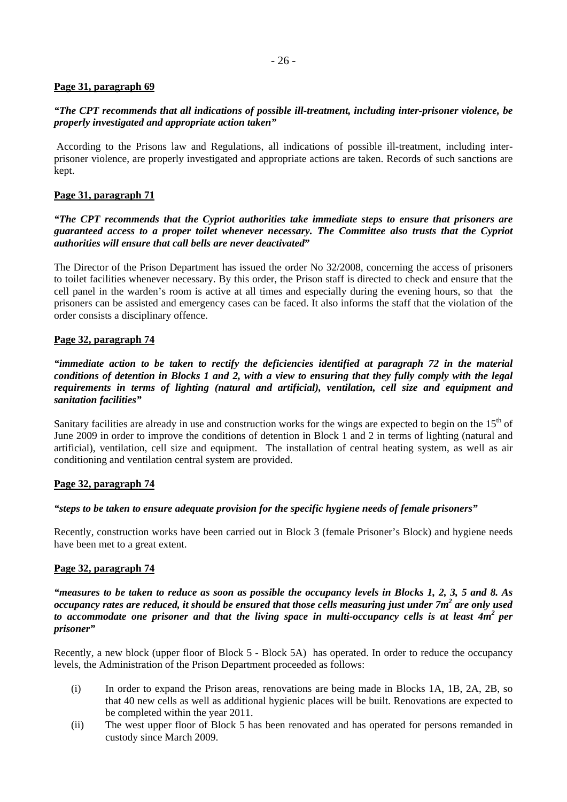# **Page 31, paragraph 69**

# *"The CPT recommends that all indications of possible ill-treatment, including inter-prisoner violence, be properly investigated and appropriate action taken"*

 According to the Prisons law and Regulations, all indications of possible ill-treatment, including interprisoner violence, are properly investigated and appropriate actions are taken. Records of such sanctions are kept.

# **Page 31, paragraph 71**

## *"The CPT recommends that the Cypriot authorities take immediate steps to ensure that prisoners are guaranteed access to a proper toilet whenever necessary. The Committee also trusts that the Cypriot authorities will ensure that call bells are never deactivated***"**

The Director of the Prison Department has issued the order No 32/2008, concerning the access of prisoners to toilet facilities whenever necessary. By this order, the Prison staff is directed to check and ensure that the cell panel in the warden's room is active at all times and especially during the evening hours, so that the prisoners can be assisted and emergency cases can be faced. It also informs the staff that the violation of the order consists a disciplinary offence.

# **Page 32, paragraph 74**

*"immediate action to be taken to rectify the deficiencies identified at paragraph 72 in the material conditions of detention in Blocks 1 and 2, with a view to ensuring that they fully comply with the legal requirements in terms of lighting (natural and artificial), ventilation, cell size and equipment and sanitation facilities"* 

Sanitary facilities are already in use and construction works for the wings are expected to begin on the  $15<sup>th</sup>$  of June 2009 in order to improve the conditions of detention in Block 1 and 2 in terms of lighting (natural and artificial), ventilation, cell size and equipment. The installation of central heating system, as well as air conditioning and ventilation central system are provided.

## **Page 32, paragraph 74**

## *"steps to be taken to ensure adequate provision for the specific hygiene needs of female prisoners"*

Recently, construction works have been carried out in Block 3 (female Prisoner's Block) and hygiene needs have been met to a great extent.

## **Page 32, paragraph 74**

*"measures to be taken to reduce as soon as possible the occupancy levels in Blocks 1, 2, 3, 5 and 8. As occupancy rates are reduced, it should be ensured that those cells measuring just under 7m2 are only used*  to accommodate one prisoner and that the living space in multi-occupancy cells is at least 4m<sup>2</sup> per *prisoner"* 

Recently, a new block (upper floor of Block 5 - Block 5A) has operated. In order to reduce the occupancy levels, the Administration of the Prison Department proceeded as follows:

- (i) In order to expand the Prison areas, renovations are being made in Blocks 1A, 1B, 2A, 2B, so that 40 new cells as well as additional hygienic places will be built. Renovations are expected to be completed within the year 2011.
- (ii) The west upper floor of Block 5 has been renovated and has operated for persons remanded in custody since March 2009.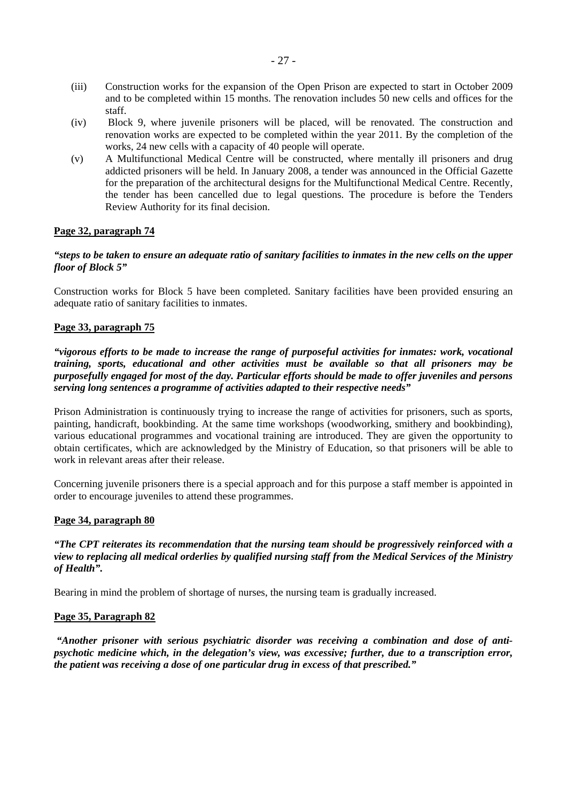- (iii) Construction works for the expansion of the Open Prison are expected to start in October 2009 and to be completed within 15 months. The renovation includes 50 new cells and offices for the staff.
- (iv) Block 9, where juvenile prisoners will be placed, will be renovated. The construction and renovation works are expected to be completed within the year 2011. By the completion of the works, 24 new cells with a capacity of 40 people will operate.
- (v) A Multifunctional Medical Centre will be constructed, where mentally ill prisoners and drug addicted prisoners will be held. In January 2008, a tender was announced in the Official Gazette for the preparation of the architectural designs for the Multifunctional Medical Centre. Recently, the tender has been cancelled due to legal questions. The procedure is before the Tenders Review Authority for its final decision.

# **Page 32, paragraph 74**

## *"steps to be taken to ensure an adequate ratio of sanitary facilities to inmates in the new cells on the upper floor of Block 5"*

Construction works for Block 5 have been completed. Sanitary facilities have been provided ensuring an adequate ratio of sanitary facilities to inmates.

## **Page 33, paragraph 75**

*"vigorous efforts to be made to increase the range of purposeful activities for inmates: work, vocational training, sports, educational and other activities must be available so that all prisoners may be purposefully engaged for most of the day. Particular efforts should be made to offer juveniles and persons serving long sentences a programme of activities adapted to their respective needs"* 

Prison Administration is continuously trying to increase the range of activities for prisoners, such as sports, painting, handicraft, bookbinding. At the same time workshops (woodworking, smithery and bookbinding), various educational programmes and vocational training are introduced. They are given the opportunity to obtain certificates, which are acknowledged by the Ministry of Education, so that prisoners will be able to work in relevant areas after their release.

Concerning juvenile prisoners there is a special approach and for this purpose a staff member is appointed in order to encourage juveniles to attend these programmes.

## **Page 34, paragraph 80**

# *"The CPT reiterates its recommendation that the nursing team should be progressively reinforced with a view to replacing all medical orderlies by qualified nursing staff from the Medical Services of the Ministry of Health".*

Bearing in mind the problem of shortage of nurses, the nursing team is gradually increased.

## **Page 35, Paragraph 82**

 *"Another prisoner with serious psychiatric disorder was receiving a combination and dose of antipsychotic medicine which, in the delegation's view, was excessive; further, due to a transcription error, the patient was receiving a dose of one particular drug in excess of that prescribed."*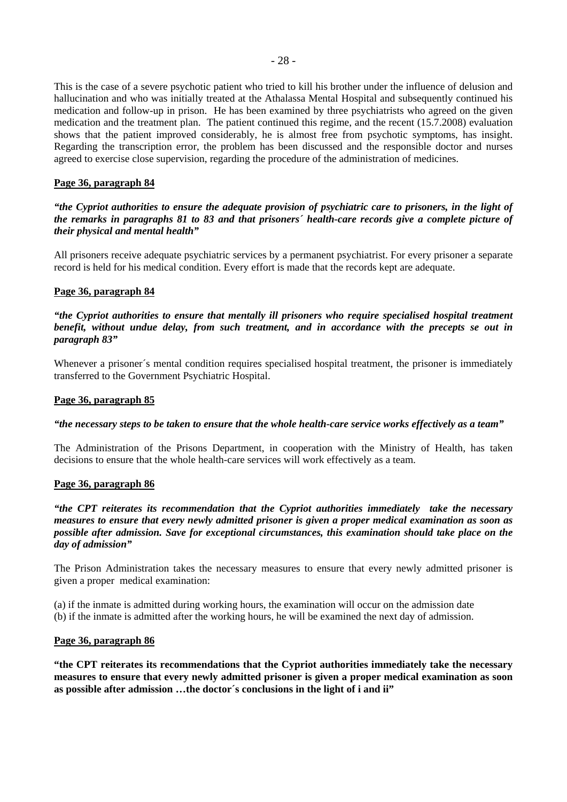This is the case of a severe psychotic patient who tried to kill his brother under the influence of delusion and hallucination and who was initially treated at the Athalassa Mental Hospital and subsequently continued his medication and follow-up in prison. He has been examined by three psychiatrists who agreed on the given medication and the treatment plan. The patient continued this regime, and the recent (15.7.2008) evaluation shows that the patient improved considerably, he is almost free from psychotic symptoms, has insight. Regarding the transcription error, the problem has been discussed and the responsible doctor and nurses agreed to exercise close supervision, regarding the procedure of the administration of medicines.

#### **Page 36, paragraph 84**

*"the Cypriot authorities to ensure the adequate provision of psychiatric care to prisoners, in the light of the remarks in paragraphs 81 to 83 and that prisoners´ health-care records give a complete picture of their physical and mental health"* 

All prisoners receive adequate psychiatric services by a permanent psychiatrist. For every prisoner a separate record is held for his medical condition. Every effort is made that the records kept are adequate.

#### **Page 36, paragraph 84**

*"the Cypriot authorities to ensure that mentally ill prisoners who require specialised hospital treatment benefit, without undue delay, from such treatment, and in accordance with the precepts se out in paragraph 83"*

Whenever a prisoner's mental condition requires specialised hospital treatment, the prisoner is immediately transferred to the Government Psychiatric Hospital.

#### **Page 36, paragraph 85**

#### *"the necessary steps to be taken to ensure that the whole health-care service works effectively as a team"*

The Administration of the Prisons Department, in cooperation with the Ministry of Health, has taken decisions to ensure that the whole health-care services will work effectively as a team.

#### **Page 36, paragraph 86**

*"the CPT reiterates its recommendation that the Cypriot authorities immediately take the necessary measures to ensure that every newly admitted prisoner is given a proper medical examination as soon as possible after admission. Save for exceptional circumstances, this examination should take place on the day of admission"* 

The Prison Administration takes the necessary measures to ensure that every newly admitted prisoner is given a proper medical examination:

(a) if the inmate is admitted during working hours, the examination will occur on the admission date (b) if the inmate is admitted after the working hours, he will be examined the next day of admission.

#### **Page 36, paragraph 86**

**"the CPT reiterates its recommendations that the Cypriot authorities immediately take the necessary measures to ensure that every newly admitted prisoner is given a proper medical examination as soon as possible after admission …the doctor´s conclusions in the light of i and ii"**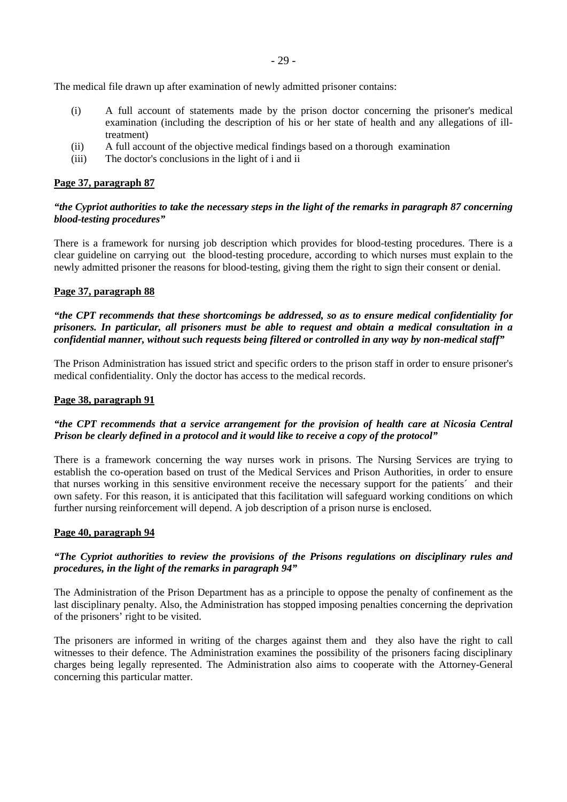- 29 -

The medical file drawn up after examination of newly admitted prisoner contains:

- (i) A full account of statements made by the prison doctor concerning the prisoner's medical examination (including the description of his or her state of health and any allegations of illtreatment)
- (ii) A full account of the objective medical findings based on a thorough examination
- (iii) The doctor's conclusions in the light of i and ii

#### **Page 37, paragraph 87**

# *"the Cypriot authorities to take the necessary steps in the light of the remarks in paragraph 87 concerning blood-testing procedures"*

There is a framework for nursing job description which provides for blood-testing procedures. There is a clear guideline on carrying out the blood-testing procedure, according to which nurses must explain to the newly admitted prisoner the reasons for blood-testing, giving them the right to sign their consent or denial.

#### **Page 37, paragraph 88**

*"the CPT recommends that these shortcomings be addressed, so as to ensure medical confidentiality for prisoners. In particular, all prisoners must be able to request and obtain a medical consultation in a confidential manner, without such requests being filtered or controlled in any way by non-medical staff"* 

The Prison Administration has issued strict and specific orders to the prison staff in order to ensure prisoner's medical confidentiality. Only the doctor has access to the medical records.

#### **Page 38, paragraph 91**

## *"the CPT recommends that a service arrangement for the provision of health care at Nicosia Central Prison be clearly defined in a protocol and it would like to receive a copy of the protocol"*

There is a framework concerning the way nurses work in prisons. The Nursing Services are trying to establish the co-operation based on trust of the Medical Services and Prison Authorities, in order to ensure that nurses working in this sensitive environment receive the necessary support for the patients´ and their own safety. For this reason, it is anticipated that this facilitation will safeguard working conditions on which further nursing reinforcement will depend. A job description of a prison nurse is enclosed.

#### **Page 40, paragraph 94**

## *"The Cypriot authorities to review the provisions of the Prisons regulations on disciplinary rules and procedures, in the light of the remarks in paragraph 94"*

The Administration of the Prison Department has as a principle to oppose the penalty of confinement as the last disciplinary penalty. Also, the Administration has stopped imposing penalties concerning the deprivation of the prisoners' right to be visited.

The prisoners are informed in writing of the charges against them and they also have the right to call witnesses to their defence. The Administration examines the possibility of the prisoners facing disciplinary charges being legally represented. The Administration also aims to cooperate with the Attorney-General concerning this particular matter.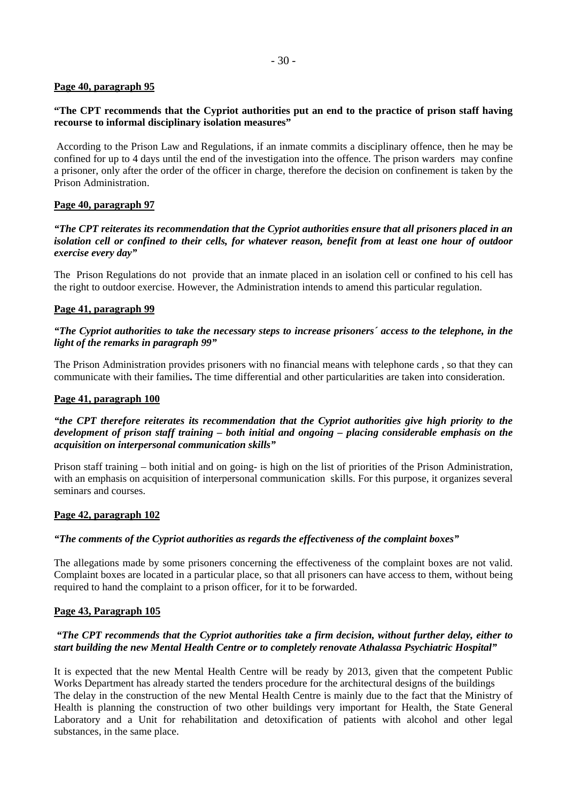# **Page 40, paragraph 95**

## **"The CPT recommends that the Cypriot authorities put an end to the practice of prison staff having recourse to informal disciplinary isolation measures"**

 According to the Prison Law and Regulations, if an inmate commits a disciplinary offence, then he may be confined for up to 4 days until the end of the investigation into the offence. The prison warders may confine a prisoner, only after the order of the officer in charge, therefore the decision on confinement is taken by the Prison Administration.

# **Page 40, paragraph 97**

*"The CPT reiterates its recommendation that the Cypriot authorities ensure that all prisoners placed in an isolation cell or confined to their cells, for whatever reason, benefit from at least one hour of outdoor exercise every day"* 

The Prison Regulations do not provide that an inmate placed in an isolation cell or confined to his cell has the right to outdoor exercise. However, the Administration intends to amend this particular regulation.

# **Page 41, paragraph 99**

# *"The Cypriot authorities to take the necessary steps to increase prisoners´ access to the telephone, in the light of the remarks in paragraph 99"*

The Prison Administration provides prisoners with no financial means with telephone cards , so that they can communicate with their families**.** The time differential and other particularities are taken into consideration.

#### **Page 41, paragraph 100**

## *"the CPT therefore reiterates its recommendation that the Cypriot authorities give high priority to the development of prison staff training – both initial and ongoing – placing considerable emphasis on the acquisition on interpersonal communication skills"*

Prison staff training – both initial and on going- is high on the list of priorities of the Prison Administration, with an emphasis on acquisition of interpersonal communication skills. For this purpose, it organizes several seminars and courses.

## **Page 42, paragraph 102**

## *"The comments of the Cypriot authorities as regards the effectiveness of the complaint boxes"*

The allegations made by some prisoners concerning the effectiveness of the complaint boxes are not valid. Complaint boxes are located in a particular place, so that all prisoners can have access to them, without being required to hand the complaint to a prison officer, for it to be forwarded.

## **Page 43, Paragraph 105**

## *"The CPT recommends that the Cypriot authorities take a firm decision, without further delay, either to start building the new Mental Health Centre or to completely renovate Athalassa Psychiatric Hospital"*

It is expected that the new Mental Health Centre will be ready by 2013, given that the competent Public Works Department has already started the tenders procedure for the architectural designs of the buildings The delay in the construction of the new Mental Health Centre is mainly due to the fact that the Ministry of Health is planning the construction of two other buildings very important for Health, the State General Laboratory and a Unit for rehabilitation and detoxification of patients with alcohol and other legal substances, in the same place.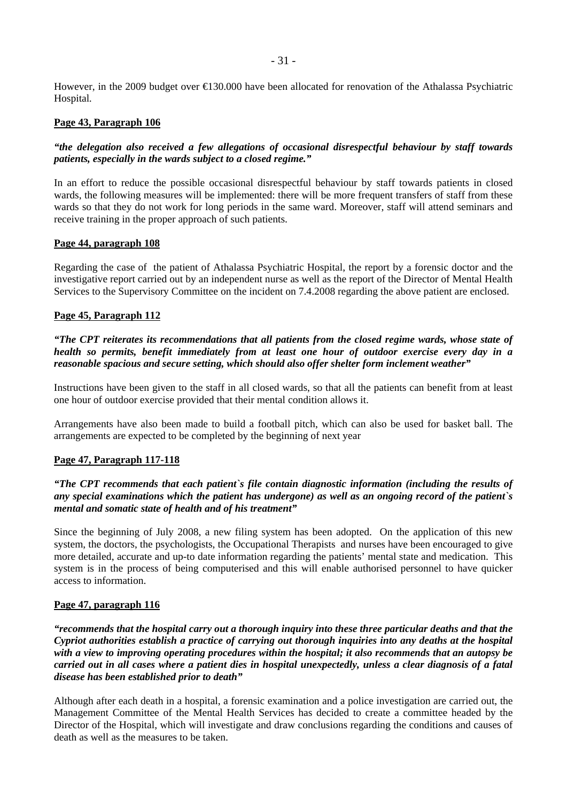However, in the 2009 budget over €130.000 have been allocated for renovation of the Athalassa Psychiatric Hospital*.* 

# **Page 43, Paragraph 106**

# *"the delegation also received a few allegations of occasional disrespectful behaviour by staff towards patients, especially in the wards subject to a closed regime."*

In an effort to reduce the possible occasional disrespectful behaviour by staff towards patients in closed wards, the following measures will be implemented: there will be more frequent transfers of staff from these wards so that they do not work for long periods in the same ward. Moreover, staff will attend seminars and receive training in the proper approach of such patients.

## **Page 44, paragraph 108**

Regarding the case of the patient of Athalassa Psychiatric Hospital, the report by a forensic doctor and the investigative report carried out by an independent nurse as well as the report of the Director of Mental Health Services to the Supervisory Committee on the incident on 7.4.2008 regarding the above patient are enclosed.

# **Page 45, Paragraph 112**

*"The CPT reiterates its recommendations that all patients from the closed regime wards, whose state of health so permits, benefit immediately from at least one hour of outdoor exercise every day in a reasonable spacious and secure setting, which should also offer shelter form inclement weather"*

Instructions have been given to the staff in all closed wards, so that all the patients can benefit from at least one hour of outdoor exercise provided that their mental condition allows it.

Arrangements have also been made to build a football pitch, which can also be used for basket ball. The arrangements are expected to be completed by the beginning of next year

## **Page 47, Paragraph 117-118**

# *"The CPT recommends that each patient`s file contain diagnostic information (including the results of any special examinations which the patient has undergone) as well as an ongoing record of the patient`s mental and somatic state of health and of his treatment"*

Since the beginning of July 2008, a new filing system has been adopted. On the application of this new system, the doctors, the psychologists, the Occupational Therapists and nurses have been encouraged to give more detailed, accurate and up-to date information regarding the patients' mental state and medication. This system is in the process of being computerised and this will enable authorised personnel to have quicker access to information.

## **Page 47, paragraph 116**

*"recommends that the hospital carry out a thorough inquiry into these three particular deaths and that the Cypriot authorities establish a practice of carrying out thorough inquiries into any deaths at the hospital with a view to improving operating procedures within the hospital; it also recommends that an autopsy be carried out in all cases where a patient dies in hospital unexpectedly, unless a clear diagnosis of a fatal disease has been established prior to death"* 

Although after each death in a hospital, a forensic examination and a police investigation are carried out, the Management Committee of the Mental Health Services has decided to create a committee headed by the Director of the Hospital, which will investigate and draw conclusions regarding the conditions and causes of death as well as the measures to be taken.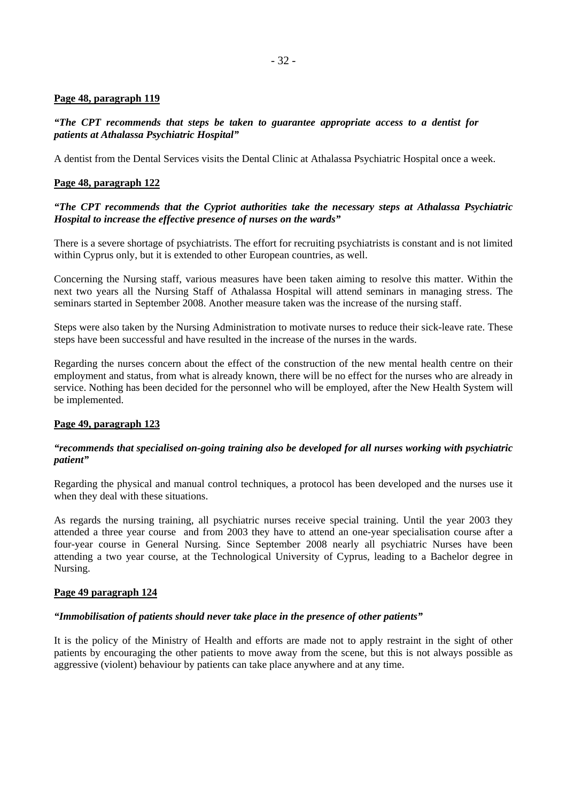## **Page 48, paragraph 119**

## *"The CPT recommends that steps be taken to guarantee appropriate access to a dentist for patients at Athalassa Psychiatric Hospital"*

A dentist from the Dental Services visits the Dental Clinic at Athalassa Psychiatric Hospital once a week.

# **Page 48, paragraph 122**

# *"The CPT recommends that the Cypriot authorities take the necessary steps at Athalassa Psychiatric Hospital to increase the effective presence of nurses on the wards"*

There is a severe shortage of psychiatrists. The effort for recruiting psychiatrists is constant and is not limited within Cyprus only, but it is extended to other European countries, as well.

Concerning the Nursing staff, various measures have been taken aiming to resolve this matter. Within the next two years all the Nursing Staff of Athalassa Hospital will attend seminars in managing stress. The seminars started in September 2008. Another measure taken was the increase of the nursing staff.

Steps were also taken by the Nursing Administration to motivate nurses to reduce their sick-leave rate. These steps have been successful and have resulted in the increase of the nurses in the wards.

Regarding the nurses concern about the effect of the construction of the new mental health centre on their employment and status, from what is already known, there will be no effect for the nurses who are already in service. Nothing has been decided for the personnel who will be employed, after the New Health System will be implemented.

## **Page 49, paragraph 123**

# *"recommends that specialised on-going training also be developed for all nurses working with psychiatric patient"*

Regarding the physical and manual control techniques, a protocol has been developed and the nurses use it when they deal with these situations.

As regards the nursing training, all psychiatric nurses receive special training. Until the year 2003 they attended a three year course and from 2003 they have to attend an one-year specialisation course after a four-year course in General Nursing. Since September 2008 nearly all psychiatric Nurses have been attending a two year course, at the Technological University of Cyprus, leading to a Bachelor degree in Nursing.

## **Page 49 paragraph 124**

## *"Immobilisation of patients should never take place in the presence of other patients"*

It is the policy of the Ministry of Health and efforts are made not to apply restraint in the sight of other patients by encouraging the other patients to move away from the scene, but this is not always possible as aggressive (violent) behaviour by patients can take place anywhere and at any time.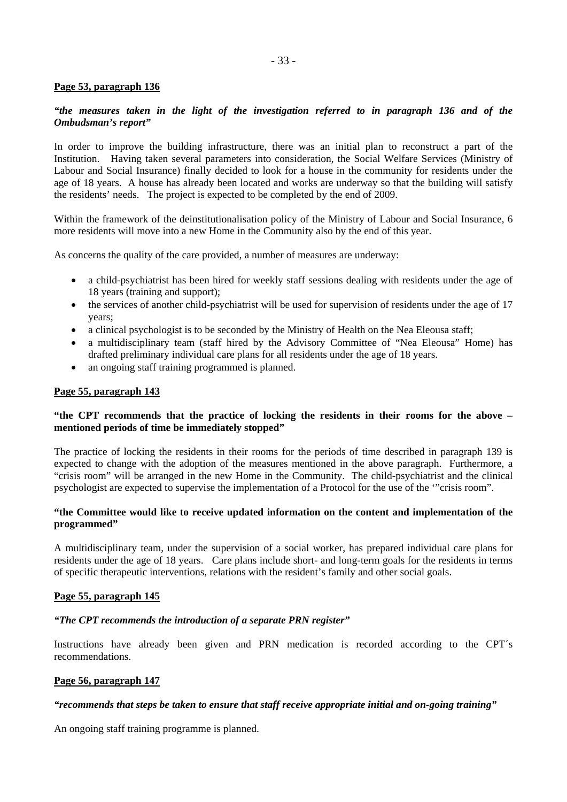## **Page 53, paragraph 136**

# *"the measures taken in the light of the investigation referred to in paragraph 136 and of the Ombudsman's report"*

In order to improve the building infrastructure, there was an initial plan to reconstruct a part of the Institution. Having taken several parameters into consideration, the Social Welfare Services (Ministry of Labour and Social Insurance) finally decided to look for a house in the community for residents under the age of 18 years. A house has already been located and works are underway so that the building will satisfy the residents' needs. The project is expected to be completed by the end of 2009.

Within the framework of the deinstitutionalisation policy of the Ministry of Labour and Social Insurance, 6 more residents will move into a new Home in the Community also by the end of this year.

As concerns the quality of the care provided, a number of measures are underway:

- a child-psychiatrist has been hired for weekly staff sessions dealing with residents under the age of 18 years (training and support);
- the services of another child-psychiatrist will be used for supervision of residents under the age of 17 years;
- a clinical psychologist is to be seconded by the Ministry of Health on the Nea Eleousa staff;
- a multidisciplinary team (staff hired by the Advisory Committee of "Nea Eleousa" Home) has drafted preliminary individual care plans for all residents under the age of 18 years.
- an ongoing staff training programmed is planned.

## **Page 55, paragraph 143**

## **"the CPT recommends that the practice of locking the residents in their rooms for the above – mentioned periods of time be immediately stopped"**

The practice of locking the residents in their rooms for the periods of time described in paragraph 139 is expected to change with the adoption of the measures mentioned in the above paragraph. Furthermore, a "crisis room" will be arranged in the new Home in the Community. The child-psychiatrist and the clinical psychologist are expected to supervise the implementation of a Protocol for the use of the '"crisis room".

#### **"the Committee would like to receive updated information on the content and implementation of the programmed"**

A multidisciplinary team, under the supervision of a social worker, has prepared individual care plans for residents under the age of 18 years. Care plans include short- and long-term goals for the residents in terms of specific therapeutic interventions, relations with the resident's family and other social goals.

## **Page 55, paragraph 145**

## *"The CPT recommends the introduction of a separate PRN register"*

Instructions have already been given and PRN medication is recorded according to the CPT´s recommendations.

#### **Page 56, paragraph 147**

## *"recommends that steps be taken to ensure that staff receive appropriate initial and on-going training"*

An ongoing staff training programme is planned.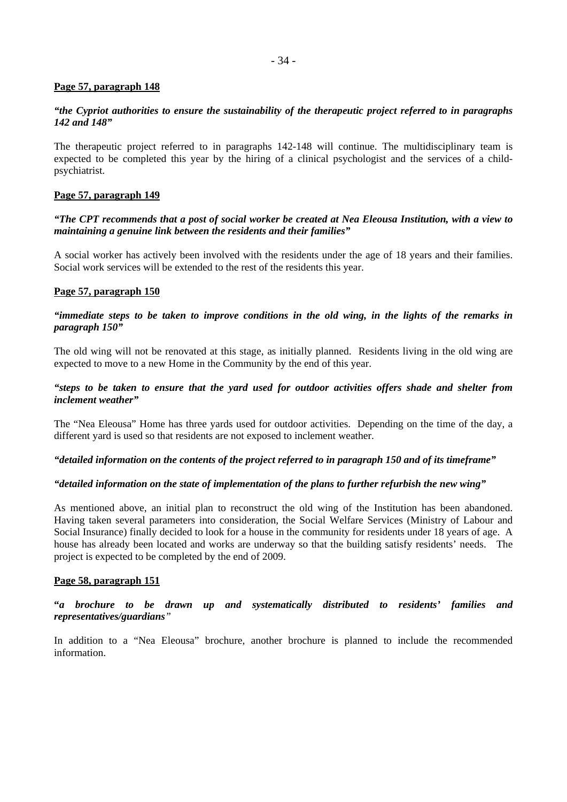## **Page 57, paragraph 148**

## *"the Cypriot authorities to ensure the sustainability of the therapeutic project referred to in paragraphs 142 and 148"*

The therapeutic project referred to in paragraphs 142-148 will continue. The multidisciplinary team is expected to be completed this year by the hiring of a clinical psychologist and the services of a childpsychiatrist.

#### **Page 57, paragraph 149**

#### *"The CPT recommends that a post of social worker be created at Nea Eleousa Institution, with a view to maintaining a genuine link between the residents and their families"*

A social worker has actively been involved with the residents under the age of 18 years and their families. Social work services will be extended to the rest of the residents this year.

#### **Page 57, paragraph 150**

#### *"immediate steps to be taken to improve conditions in the old wing, in the lights of the remarks in paragraph 150"*

The old wing will not be renovated at this stage, as initially planned. Residents living in the old wing are expected to move to a new Home in the Community by the end of this year.

#### *"steps to be taken to ensure that the yard used for outdoor activities offers shade and shelter from inclement weather"*

The "Nea Eleousa" Home has three yards used for outdoor activities. Depending on the time of the day, a different yard is used so that residents are not exposed to inclement weather.

#### *"detailed information on the contents of the project referred to in paragraph 150 and of its timeframe"*

#### *"detailed information on the state of implementation of the plans to further refurbish the new wing"*

As mentioned above, an initial plan to reconstruct the old wing of the Institution has been abandoned. Having taken several parameters into consideration, the Social Welfare Services (Ministry of Labour and Social Insurance) finally decided to look for a house in the community for residents under 18 years of age. A house has already been located and works are underway so that the building satisfy residents' needs. The project is expected to be completed by the end of 2009.

#### **Page 58, paragraph 151**

**"***a brochure to be drawn up and systematically distributed to residents' families and representatives/guardians"* 

In addition to a "Nea Eleousa" brochure, another brochure is planned to include the recommended information.